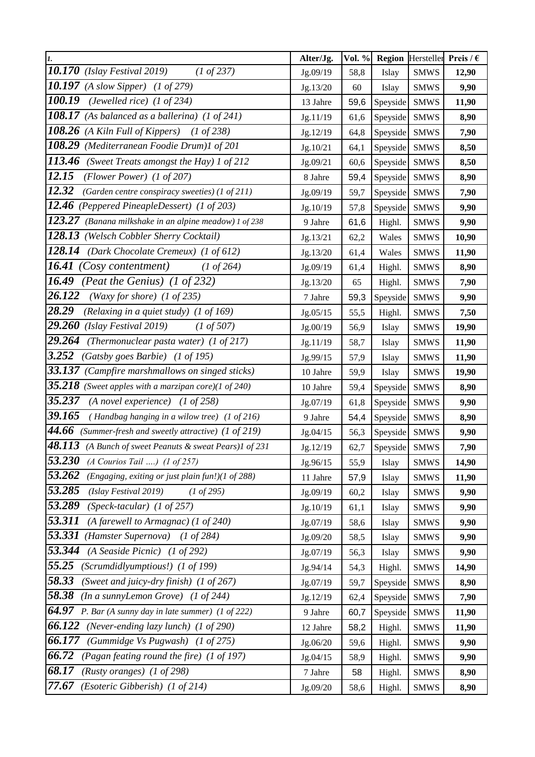| $\mathbf{I}$ .                                                           | Alter/Jg. | Vol. % |          | <b>Region</b> Hersteller Preis / $\epsilon$ |       |
|--------------------------------------------------------------------------|-----------|--------|----------|---------------------------------------------|-------|
| 10.170<br>(Islay Festival 2019)<br>$(1 \text{ of } 237)$                 | Jg.09/19  | 58,8   | Islay    | <b>SMWS</b>                                 | 12,90 |
| 10.197<br>$(A \, slow \, Sipper)$ $(1 \, of \, 279)$                     | Jg.13/20  | 60     | Islay    | <b>SMWS</b>                                 | 9,90  |
| 100.19<br>(Jewelled rice) $(1 \text{ of } 234)$                          | 13 Jahre  | 59,6   | Speyside | <b>SMWS</b>                                 | 11,90 |
| 108.17<br>(As balanced as a ballerina) $(1 \text{ of } 241)$             | Jg.11/19  | 61,6   | Speyside | <b>SMWS</b>                                 | 8,90  |
| $\overline{108.26}$<br>(A Kiln Full of Kippers)<br>$(1 \text{ of } 238)$ | Jg.12/19  | 64,8   | Speyside | <b>SMWS</b>                                 | 7,90  |
| 108.29<br>(Mediterranean Foodie Drum)1 of 201                            | Jg.10/21  | 64,1   | Speyside | <b>SMWS</b>                                 | 8,50  |
| 113.46<br>(Sweet Treats amongst the Hay) 1 of 212                        | Jg.09/21  | 60,6   | Speyside | <b>SMWS</b>                                 | 8,50  |
| 12.15<br>(Flower Power) $(1 \text{ of } 207)$                            | 8 Jahre   | 59,4   | Speyside | <b>SMWS</b>                                 | 8,90  |
| 12.32<br>(Garden centre conspiracy sweeties) (1 of 211)                  | Jg.09/19  | 59,7   | Speyside | <b>SMWS</b>                                 | 7,90  |
| 12.46 (Peppered PineapleDessert) (1 of 203)                              | Jg.10/19  | 57,8   | Speyside | <b>SMWS</b>                                 | 9,90  |
| 123.27<br>(Banana milkshake in an alpine meadow) 1 of 238                | 9 Jahre   | 61,6   | Highl.   | <b>SMWS</b>                                 | 9,90  |
| 128.13<br>(Welsch Cobbler Sherry Cocktail)                               | Jg.13/21  | 62,2   | Wales    | <b>SMWS</b>                                 | 10,90 |
| 128.14<br>(Dark Chocolate Cremeux) (1 of 612)                            | Jg.13/20  | 61,4   | Wales    | <b>SMWS</b>                                 | 11,90 |
| 16.41<br>Cosy contentment)<br>$(1 \text{ of } 264)$                      | Jg.09/19  | 61,4   | Highl.   | <b>SMWS</b>                                 | 8,90  |
| 16.49<br>(Peat the Genius) $(1 \text{ of } 232)$                         | Jg.13/20  | 65     | Highl.   | <b>SMWS</b>                                 | 7,90  |
| 26.122<br>(Waxy for shore) $(1 \text{ of } 235)$                         | 7 Jahre   | 59,3   | Speyside | <b>SMWS</b>                                 | 9,90  |
| 28.29<br>(Relaxing in a quiet study) (1 of 169)                          | Jg.05/15  | 55,5   | Highl.   | <b>SMWS</b>                                 | 7,50  |
| 29.260<br>(Islay Festival 2019)<br>$(1 \text{ of } 507)$                 | Jg.00/19  | 56,9   | Islay    | <b>SMWS</b>                                 | 19,90 |
| 29.264<br>(Thermonuclear pasta water) $(1 \text{ of } 217)$              | Jg.11/19  | 58,7   | Islay    | <b>SMWS</b>                                 | 11,90 |
| 3.252<br>(Gatsby goes Barbie) (1 of 195)                                 | Jg.99/15  | 57,9   | Islay    | <b>SMWS</b>                                 | 11,90 |
| 33.137 (Campfire marshmallows on singed sticks)                          | 10 Jahre  | 59,9   | Islay    | <b>SMWS</b>                                 | 19,90 |
| 35.218<br>(Sweet apples with a marzipan core)(1 of 240)                  | 10 Jahre  | 59,4   | Speyside | <b>SMWS</b>                                 | 8,90  |
| 35.237<br>$(A$ novel experience) $(1 \text{ of } 258)$                   | Jg.07/19  | 61,8   | Speyside | <b>SMWS</b>                                 | 9,90  |
| 39.165<br>(Handbag hanging in a wilow tree) (1 of 216)                   | 9 Jahre   | 54,4   | Speyside | <b>SMWS</b>                                 | 8,90  |
| 44.66<br>(Summer-fresh and sweetly attractive) (1 of 219)                | Jg.04/15  | 56,3   | Speyside | <b>SMWS</b>                                 | 9,90  |
| 48.113<br>(A Bunch of sweet Peanuts & sweat Pears)1 of 231               | Jg.12/19  | 62,7   | Speyside | <b>SMWS</b>                                 | 7,90  |
| 53.230<br>$(A$ Courios Tail ) $(I \text{ of } 257)$                      | Jg.96/15  | 55,9   | Islay    | <b>SMWS</b>                                 | 14,90 |
| 53.262<br>(Engaging, exiting or just plain fun!)(1 of 288)               | 11 Jahre  | 57,9   | Islay    | <b>SMWS</b>                                 | 11,90 |
| 53.285<br>(Islay Festival 2019)<br>$(1 \text{ of } 295)$                 | Jg.09/19  | 60,2   | Islay    | <b>SMWS</b>                                 | 9,90  |
| 53.289<br>(Speck-tacular) $(1 \text{ of } 257)$                          | Jg.10/19  | 61,1   | Islay    | <b>SMWS</b>                                 | 9,90  |
| 53.311<br>(A farewell to Armagnac) $(1 \text{ of } 240)$                 | Jg.07/19  | 58,6   | Islay    | <b>SMWS</b>                                 | 9,90  |
| 53.331<br>(Hamster Supernova)<br>$(1 \text{ of } 284)$                   | Jg.09/20  | 58,5   | Islay    | <b>SMWS</b>                                 | 9,90  |
| 53.344<br>(A Seaside Picnic) (1 of 292)                                  | Jg.07/19  | 56,3   | Islay    | <b>SMWS</b>                                 | 9,90  |
| 55.25<br>(Scrumdidlyumptious!) (1 of 199)                                | Jg.94/14  | 54,3   | Highl.   | <b>SMWS</b>                                 | 14,90 |
| 58.33<br>(Sweet and juicy-dry finish) (1 of 267)                         | Jg.07/19  | 59,7   | Speyside | <b>SMWS</b>                                 | 8,90  |
| 58.38<br>(In a sunnyLemon Grove) $(1 \text{ of } 244)$                   | Jg.12/19  | 62,4   | Speyside | <b>SMWS</b>                                 | 7,90  |
| 64.97<br>P. Bar (A sunny day in late summer) $(1 \text{ of } 222)$       | 9 Jahre   | 60,7   | Speyside | <b>SMWS</b>                                 | 11,90 |
| 66.122<br>(Never-ending lazy lunch) (1 of 290)                           | 12 Jahre  | 58,2   | Highl.   | <b>SMWS</b>                                 | 11,90 |
| 66.177<br>(Gummidge Vs Pugwash) (1 of 275)                               | Jg.06/20  | 59,6   | Highl.   | <b>SMWS</b>                                 | 9,90  |
| 66.72<br>(Pagan feating round the fire) (1 of 197)                       | Jg.04/15  | 58,9   | Highl.   | <b>SMWS</b>                                 | 9,90  |
| 68.17<br>(Rusty oranges) $(1 \text{ of } 298)$                           | 7 Jahre   | 58     | Highl.   | <b>SMWS</b>                                 | 8,90  |
| 77.67<br>(Esoteric Gibberish) (1 of 214)                                 | Jg.09/20  | 58,6   | Highl.   | <b>SMWS</b>                                 | 8,90  |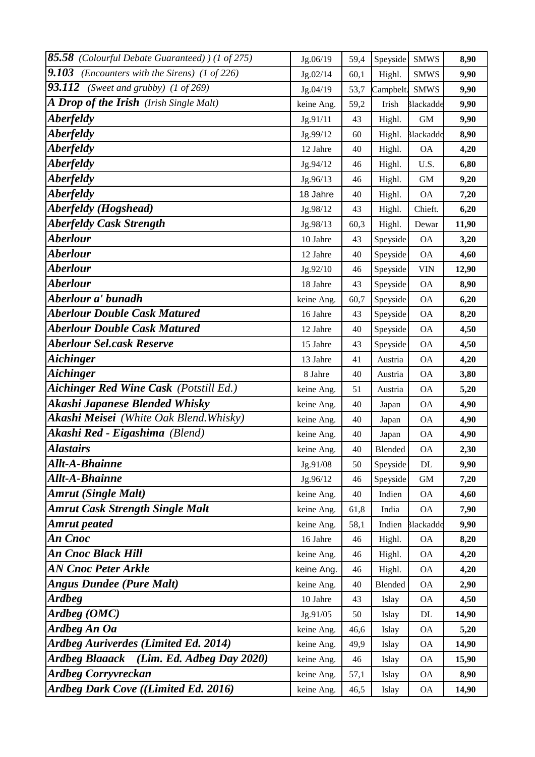| 85.58 (Colourful Debate Guaranteed)) (1 of 275)      | Jg.06/19   | 59,4 | Speyside  | <b>SMWS</b>      | 8,90  |
|------------------------------------------------------|------------|------|-----------|------------------|-------|
| 9.103<br>(Encounters with the Sirens) (1 of 226)     | Jg.02/14   | 60,1 | Highl.    | <b>SMWS</b>      | 9,90  |
| 93.112<br>(Sweet and grubby) $(1 \text{ of } 269)$   | Jg.04/19   | 53,7 | Campbelt. | <b>SMWS</b>      | 9,90  |
| A Drop of the Irish (Irish Single Malt)              | keine Ang. | 59,2 | Irish     | <b>Blackadde</b> | 9,90  |
| <b>Aberfeldy</b>                                     | Jg.91/11   | 43   | Highl.    | <b>GM</b>        | 9,90  |
| <b>Aberfeldy</b>                                     | Jg.99/12   | 60   | Highl.    | <b>Blackadde</b> | 8,90  |
| <i><b>Aberfeldy</b></i>                              | 12 Jahre   | 40   | Highl.    | <b>OA</b>        | 4,20  |
| <i><b>Aberfeldy</b></i>                              | Jg.94/12   | 46   | Highl.    | U.S.             | 6,80  |
| <i><b>Aberfeldy</b></i>                              | Jg.96/13   | 46   | Highl.    | $\mbox{GM}$      | 9,20  |
| <i><b>Aberfeldy</b></i>                              | 18 Jahre   | 40   | Highl.    | <b>OA</b>        | 7,20  |
| <b>Aberfeldy</b> (Hogshead)                          | Jg.98/12   | 43   | Highl.    | Chieft.          | 6,20  |
| <b>Aberfeldy Cask Strength</b>                       | Jg.98/13   | 60,3 | Highl.    | Dewar            | 11,90 |
| <b>Aberlour</b>                                      | 10 Jahre   | 43   | Speyside  | <b>OA</b>        | 3,20  |
| <b>Aberlour</b>                                      | 12 Jahre   | 40   | Speyside  | <b>OA</b>        | 4,60  |
| <b>Aberlour</b>                                      | Jg.92/10   | 46   | Speyside  | <b>VIN</b>       | 12,90 |
| <b>Aberlour</b>                                      | 18 Jahre   | 43   | Speyside  | <b>OA</b>        | 8,90  |
| Aberlour a' bunadh                                   | keine Ang. | 60,7 | Speyside  | <b>OA</b>        | 6,20  |
| <b>Aberlour Double Cask Matured</b>                  | 16 Jahre   | 43   | Speyside  | <b>OA</b>        | 8,20  |
| <b>Aberlour Double Cask Matured</b>                  | 12 Jahre   | 40   | Speyside  | <b>OA</b>        | 4,50  |
| <b>Aberlour Sel.cask Reserve</b>                     | 15 Jahre   | 43   | Speyside  | <b>OA</b>        | 4,50  |
| <b>Aichinger</b>                                     | 13 Jahre   | 41   | Austria   | <b>OA</b>        | 4,20  |
| <b>Aichinger</b>                                     | 8 Jahre    | 40   | Austria   | <b>OA</b>        | 3,80  |
| Aichinger Red Wine Cask (Potstill Ed.)               | keine Ang. | 51   | Austria   | <b>OA</b>        | 5,20  |
| Akashi Japanese Blended Whisky                       | keine Ang. | 40   | Japan     | <b>OA</b>        | 4,90  |
| Akashi Meisei (White Oak Blend. Whisky)              | keine Ang. | 40   | Japan     | <b>OA</b>        | 4,90  |
| <b>Akashi Red - Eigashima</b> (Blend)                | keine Ang. | 40   | Japan     | <b>OA</b>        | 4,90  |
| <b>Alastairs</b>                                     | keine Ang. | 40   | Blended   | <b>OA</b>        | 2,30  |
| <b>Allt-A-Bhainne</b>                                | Jg.91/08   | 50   | Speyside  | DL               | 9,90  |
| <b>Allt-A-Bhainne</b>                                | Jg.96/12   | 46   | Speyside  | <b>GM</b>        | 7,20  |
| <b>Amrut (Single Malt)</b>                           | keine Ang. | 40   | Indien    | <b>OA</b>        | 4,60  |
| <b>Amrut Cask Strength Single Malt</b>               | keine Ang. | 61,8 | India     | <b>OA</b>        | 7,90  |
| <b>Amrut</b> peated                                  | keine Ang. | 58,1 | Indien    | <b>Blackadde</b> | 9,90  |
| An Cnoc                                              | 16 Jahre   | 46   | Highl.    | <b>OA</b>        | 8,20  |
| An Cnoc Black Hill                                   | keine Ang. | 46   | Highl.    | <b>OA</b>        | 4,20  |
| <b>AN Cnoc Peter Arkle</b>                           | keine Ang. | 46   | Highl.    | <b>OA</b>        | 4,20  |
| <b>Angus Dundee (Pure Malt)</b>                      | keine Ang. | 40   | Blended   | <b>OA</b>        | 2,90  |
| <b>Ardbeg</b>                                        | 10 Jahre   | 43   | Islay     | <b>OA</b>        | 4,50  |
| Ardbeg (OMC)                                         | Jg.91/05   | 50   | Islay     | DL               | 14,90 |
| Ardbeg An Oa                                         | keine Ang. | 46,6 | Islay     | <b>OA</b>        | 5,20  |
| <b>Ardbeg Auriverdes (Limited Ed. 2014)</b>          | keine Ang. | 49,9 | Islay     | <b>OA</b>        | 14,90 |
| <b>Ardbeg Blaaack</b><br>$(Lim. Ed. Adbeg$ Day 2020) | keine Ang. | 46   | Islay     | <b>OA</b>        | 15,90 |
| <b>Ardbeg Corryvreckan</b>                           | keine Ang. | 57,1 | Islay     | <b>OA</b>        | 8,90  |
| Ardbeg Dark Cove ((Limited Ed. 2016)                 | keine Ang. | 46,5 | Islay     | <b>OA</b>        | 14,90 |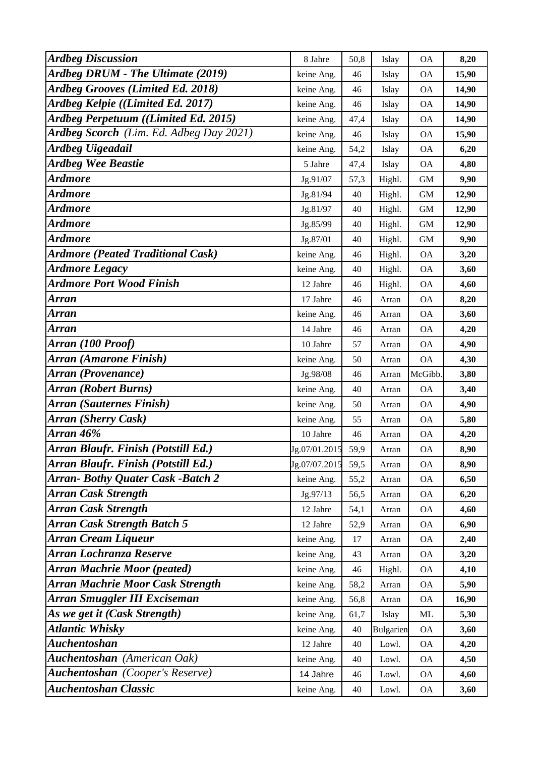| <b>Ardbeg Discussion</b>                 | 8 Jahre       | 50,8 | Islay     | <b>OA</b> | 8,20  |
|------------------------------------------|---------------|------|-----------|-----------|-------|
| Ardbeg DRUM - The Ultimate (2019)        | keine Ang.    | 46   | Islay     | <b>OA</b> | 15,90 |
| <b>Ardbeg Grooves (Limited Ed. 2018)</b> | keine Ang.    | 46   | Islay     | <b>OA</b> | 14,90 |
| Ardbeg Kelpie ((Limited Ed. 2017)        | keine Ang.    | 46   | Islay     | <b>OA</b> | 14,90 |
| Ardbeg Perpetuum ((Limited Ed. 2015)     | keine Ang.    | 47,4 | Islay     | <b>OA</b> | 14,90 |
| Ardbeg Scorch (Lim. Ed. Adbeg Day 2021)  | keine Ang.    | 46   | Islay     | <b>OA</b> | 15,90 |
| <b>Ardbeg Uigeadail</b>                  | keine Ang.    | 54,2 | Islay     | <b>OA</b> | 6,20  |
| <b>Ardbeg Wee Beastie</b>                | 5 Jahre       | 47,4 | Islay     | <b>OA</b> | 4,80  |
| <b>Ardmore</b>                           | Jg.91/07      | 57,3 | Highl.    | <b>GM</b> | 9,90  |
| <b>Ardmore</b>                           | Jg.81/94      | 40   | Highl.    | <b>GM</b> | 12,90 |
| <b>Ardmore</b>                           | Jg.81/97      | 40   | Highl.    | <b>GM</b> | 12,90 |
| <b>Ardmore</b>                           | Jg.85/99      | 40   | Highl.    | <b>GM</b> | 12,90 |
| <b>Ardmore</b>                           | Jg.87/01      | 40   | Highl.    | <b>GM</b> | 9,90  |
| <b>Ardmore (Peated Traditional Cask)</b> | keine Ang.    | 46   | Highl.    | <b>OA</b> | 3,20  |
| <b>Ardmore Legacy</b>                    | keine Ang.    | 40   | Highl.    | <b>OA</b> | 3,60  |
| <b>Ardmore Port Wood Finish</b>          | 12 Jahre      | 46   | Highl.    | <b>OA</b> | 4,60  |
| Arran                                    | 17 Jahre      | 46   | Arran     | <b>OA</b> | 8,20  |
| Arran                                    | keine Ang.    | 46   | Arran     | <b>OA</b> | 3,60  |
| <b>Arran</b>                             | 14 Jahre      | 46   | Arran     | <b>OA</b> | 4,20  |
| Arran (100 Proof)                        | 10 Jahre      | 57   | Arran     | <b>OA</b> | 4,90  |
| Arran (Amarone Finish)                   | keine Ang.    | 50   | Arran     | <b>OA</b> | 4,30  |
| Arran (Provenance)                       | Jg.98/08      | 46   | Arran     | McGibb.   | 3,80  |
| <b>Arran (Robert Burns)</b>              | keine Ang.    | 40   | Arran     | <b>OA</b> | 3,40  |
| <b>Arran (Sauternes Finish)</b>          | keine Ang.    | 50   | Arran     | <b>OA</b> | 4,90  |
| <b>Arran</b> (Sherry Cask)               | keine Ang.    | 55   | Arran     | <b>OA</b> | 5,80  |
| Arran 46%                                | 10 Jahre      | 46   | Arran     | ΟA        | 4,20  |
| Arran Blaufr. Finish (Potstill Ed.)      | Jg.07/01.2015 | 59,9 | Arran     | <b>OA</b> | 8,90  |
| Arran Blaufr. Finish (Potstill Ed.)      | Jg.07/07.2015 | 59,5 | Arran     | <b>OA</b> | 8,90  |
| <b>Arran- Bothy Quater Cask -Batch 2</b> | keine Ang.    | 55,2 | Arran     | <b>OA</b> | 6,50  |
| <b>Arran Cask Strength</b>               | Jg.97/13      | 56,5 | Arran     | <b>OA</b> | 6,20  |
| <b>Arran Cask Strength</b>               | 12 Jahre      | 54,1 | Arran     | ΟA        | 4,60  |
| <b>Arran Cask Strength Batch 5</b>       | 12 Jahre      | 52,9 | Arran     | <b>OA</b> | 6,90  |
| <b>Arran Cream Liqueur</b>               | keine Ang.    | 17   | Arran     | <b>OA</b> | 2,40  |
| Arran Lochranza Reserve                  | keine Ang.    | 43   | Arran     | <b>OA</b> | 3,20  |
| <b>Arran Machrie Moor (peated)</b>       | keine Ang.    | 46   | Highl.    | <b>OA</b> | 4,10  |
| <b>Arran Machrie Moor Cask Strength</b>  | keine Ang.    | 58,2 | Arran     | <b>OA</b> | 5,90  |
| <b>Arran Smuggler III Exciseman</b>      | keine Ang.    | 56,8 | Arran     | <b>OA</b> | 16,90 |
| As we get it (Cask Strength)             | keine Ang.    | 61,7 | Islay     | ML        | 5,30  |
| <b>Atlantic Whisky</b>                   | keine Ang.    | 40   | Bulgarien | <b>OA</b> | 3,60  |
| <b>Auchentoshan</b>                      | 12 Jahre      | 40   | Lowl.     | <b>OA</b> | 4,20  |
| Auchentoshan (American Oak)              | keine Ang.    | 40   | Lowl.     | <b>OA</b> | 4,50  |
| <b>Auchentoshan</b> (Cooper's Reserve)   | 14 Jahre      | 46   | Lowl.     | <b>OA</b> | 4,60  |
| <b>Auchentoshan Classic</b>              | keine Ang.    | 40   | Lowl.     | <b>OA</b> | 3,60  |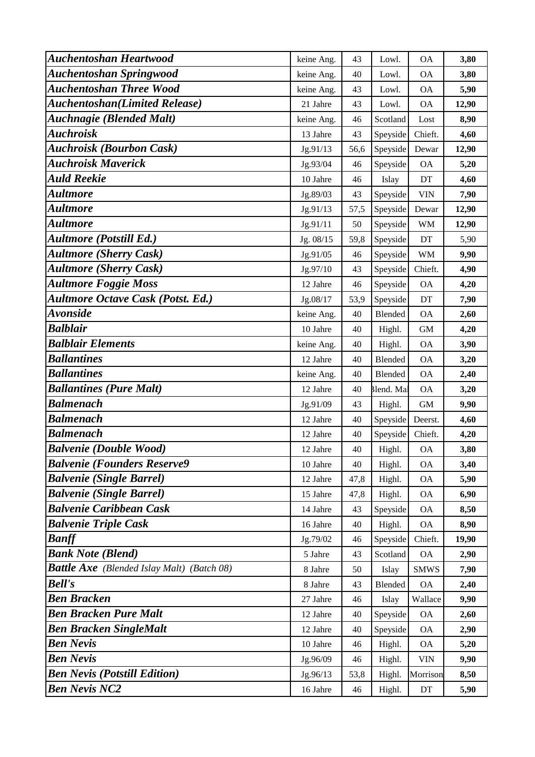| <b>Auchentoshan Heartwood</b>                     | keine Ang. | 43   | Lowl.      | <b>OA</b>                  | 3,80  |
|---------------------------------------------------|------------|------|------------|----------------------------|-------|
| <b>Auchentoshan Springwood</b>                    | keine Ang. | 40   | Lowl.      | <b>OA</b>                  | 3,80  |
| <b>Auchentoshan Three Wood</b>                    | keine Ang. | 43   | Lowl.      | <b>OA</b>                  | 5,90  |
| <b>Auchentoshan</b> (Limited Release)             | 21 Jahre   | 43   | Lowl.      | <b>OA</b>                  | 12,90 |
| <b>Auchnagie (Blended Malt)</b>                   | keine Ang. | 46   | Scotland   | Lost                       | 8,90  |
| <b>Auchroisk</b>                                  | 13 Jahre   | 43   | Speyside   | Chieft.                    | 4,60  |
| <b>Auchroisk (Bourbon Cask)</b>                   | Jg.91/13   | 56,6 | Speyside   | Dewar                      | 12,90 |
| <b>Auchroisk Maverick</b>                         | Jg.93/04   | 46   | Speyside   | <b>OA</b>                  | 5,20  |
| <b>Auld Reekie</b>                                | 10 Jahre   | 46   | Islay      | DT                         | 4,60  |
| <b>Aultmore</b>                                   | Jg.89/03   | 43   | Speyside   | <b>VIN</b>                 | 7,90  |
| <b>Aultmore</b>                                   | Jg.91/13   | 57,5 | Speyside   | Dewar                      | 12,90 |
| <b>Aultmore</b>                                   | Jg.91/11   | 50   | Speyside   | <b>WM</b>                  | 12,90 |
| <b>Aultmore (Potstill Ed.)</b>                    | Jg. 08/15  | 59,8 | Speyside   | DT                         | 5,90  |
| <b>Aultmore (Sherry Cask)</b>                     | Jg.91/05   | 46   | Speyside   | <b>WM</b>                  | 9,90  |
| <b>Aultmore (Sherry Cask)</b>                     | Jg.97/10   | 43   | Speyside   | Chieft.                    | 4,90  |
| <b>Aultmore Foggie Moss</b>                       | 12 Jahre   | 46   | Speyside   | <b>OA</b>                  | 4,20  |
| <b>Aultmore Octave Cask (Potst. Ed.)</b>          | Jg.08/17   | 53,9 | Speyside   | DT                         | 7,90  |
| <b>Avonside</b>                                   | keine Ang. | 40   | Blended    | <b>OA</b>                  | 2,60  |
| <b>Balblair</b>                                   | 10 Jahre   | 40   | Highl.     | $\mbox{GM}$                | 4,20  |
| <b>Balblair Elements</b>                          | keine Ang. | 40   | Highl.     | <b>OA</b>                  | 3,90  |
| <b>Ballantines</b>                                | 12 Jahre   | 40   | Blended    | <b>OA</b>                  | 3,20  |
| <b>Ballantines</b>                                | keine Ang. | 40   | Blended    | <b>OA</b>                  | 2,40  |
| <b>Ballantines (Pure Malt)</b>                    | 12 Jahre   | 40   | Blend. Mal | <b>OA</b>                  | 3,20  |
| <b>Balmenach</b>                                  | Jg.91/09   | 43   | Highl.     | GM                         | 9,90  |
| <b>Balmenach</b>                                  | 12 Jahre   | 40   | Speyside   | Deerst.                    | 4,60  |
| <b>Balmenach</b>                                  | 12 Jahre   | 40   | Speyside   | Chieft.                    | 4,20  |
| <b>Balvenie (Double Wood)</b>                     | 12 Jahre   | 40   | Highl.     | <b>OA</b>                  | 3,80  |
| <b>Balvenie (Founders Reserve9</b>                | 10 Jahre   | 40   | Highl.     | <b>OA</b>                  | 3,40  |
| <b>Balvenie (Single Barrel)</b>                   | 12 Jahre   | 47,8 | Highl.     | <b>OA</b>                  | 5,90  |
| <b>Balvenie (Single Barrel)</b>                   | 15 Jahre   | 47,8 | Highl.     | <b>OA</b>                  | 6,90  |
| <b>Balvenie Caribbean Cask</b>                    | 14 Jahre   | 43   | Speyside   | <b>OA</b>                  | 8,50  |
| <b>Balvenie Triple Cask</b>                       | 16 Jahre   | 40   | Highl.     | <b>OA</b>                  | 8,90  |
| <b>Banff</b>                                      | Jg.79/02   | 46   | Speyside   | Chieft.                    | 19,90 |
| <b>Bank Note (Blend)</b>                          | 5 Jahre    | 43   | Scotland   | <b>OA</b>                  | 2,90  |
| <b>Battle Axe</b> (Blended Islay Malt) (Batch 08) | 8 Jahre    | 50   | Islay      | <b>SMWS</b>                | 7,90  |
| <b>Bell's</b>                                     | 8 Jahre    | 43   | Blended    | <b>OA</b>                  | 2,40  |
| <b>Ben Bracken</b>                                | 27 Jahre   | 46   | Islay      | Wallace                    | 9,90  |
| <b>Ben Bracken Pure Malt</b>                      | 12 Jahre   | 40   | Speyside   | <b>OA</b>                  | 2,60  |
| <b>Ben Bracken SingleMalt</b>                     | 12 Jahre   | 40   | Speyside   | <b>OA</b>                  | 2,90  |
| <b>Ben Nevis</b>                                  | 10 Jahre   | 46   | Highl.     | <b>OA</b>                  | 5,20  |
| <b>Ben Nevis</b>                                  | Jg.96/09   | 46   | Highl.     | <b>VIN</b>                 | 9,90  |
| <b>Ben Nevis (Potstill Edition)</b>               | Jg.96/13   | 53,8 | Highl.     | Morrison                   | 8,50  |
| <b>Ben Nevis NC2</b>                              | 16 Jahre   | 46   | Highl.     | $\mathop{\rm DT}\nolimits$ | 5,90  |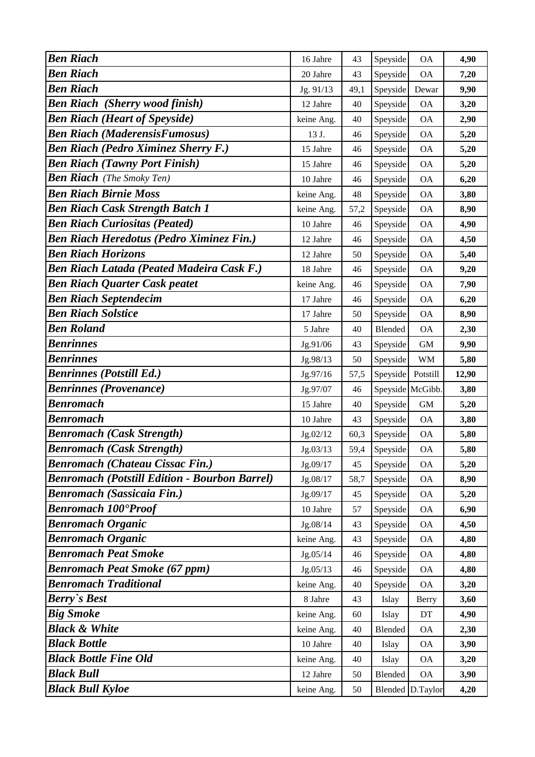| <b>Ben Riach</b>                                     | 16 Jahre   | 43   | Speyside        | <b>OA</b>        | 4,90  |
|------------------------------------------------------|------------|------|-----------------|------------------|-------|
| <b>Ben Riach</b>                                     | 20 Jahre   | 43   | Speyside        | <b>OA</b>        | 7,20  |
| <b>Ben Riach</b>                                     | Jg. 91/13  | 49,1 | Speyside        | Dewar            | 9,90  |
| <b>Ben Riach</b> (Sherry wood finish)                | 12 Jahre   | 40   | Speyside        | <b>OA</b>        | 3,20  |
| <b>Ben Riach (Heart of Speyside)</b>                 | keine Ang. | 40   | Speyside        | <b>OA</b>        | 2,90  |
| <b>Ben Riach (MaderensisFumosus)</b>                 | 13 J.      | 46   | Speyside        | <b>OA</b>        | 5,20  |
| <b>Ben Riach (Pedro Ximinez Sherry F.)</b>           | 15 Jahre   | 46   | Speyside        | <b>OA</b>        | 5,20  |
| <b>Ben Riach (Tawny Port Finish)</b>                 | 15 Jahre   | 46   | Speyside        | <b>OA</b>        | 5,20  |
| <b>Ben Riach</b> (The Smoky Ten)                     | 10 Jahre   | 46   | Speyside        | <b>OA</b>        | 6,20  |
| <b>Ben Riach Birnie Moss</b>                         | keine Ang. | 48   | Speyside        | <b>OA</b>        | 3,80  |
| <b>Ben Riach Cask Strength Batch 1</b>               | keine Ang. | 57,2 | Speyside        | <b>OA</b>        | 8,90  |
| <b>Ben Riach Curiositas (Peated)</b>                 | 10 Jahre   | 46   | Speyside        | <b>OA</b>        | 4,90  |
| <b>Ben Riach Heredotus (Pedro Ximinez Fin.)</b>      | 12 Jahre   | 46   | Speyside        | <b>OA</b>        | 4,50  |
| <b>Ben Riach Horizons</b>                            | 12 Jahre   | 50   | Speyside        | <b>OA</b>        | 5,40  |
| <b>Ben Riach Latada (Peated Madeira Cask F.)</b>     | 18 Jahre   | 46   | Speyside        | <b>OA</b>        | 9,20  |
| <b>Ben Riach Quarter Cask peatet</b>                 | keine Ang. | 46   | Speyside        | <b>OA</b>        | 7,90  |
| <b>Ben Riach Septendecim</b>                         | 17 Jahre   | 46   | Speyside        | <b>OA</b>        | 6,20  |
| <b>Ben Riach Solstice</b>                            | 17 Jahre   | 50   | Speyside        | <b>OA</b>        | 8,90  |
| <b>Ben Roland</b>                                    | 5 Jahre    | 40   | Blended         | <b>OA</b>        | 2,30  |
| <b>Benrinnes</b>                                     | Jg.91/06   | 43   | Speyside        | $\,$ GM $\,$     | 9,90  |
| <b>Benrinnes</b>                                     | Jg.98/13   | 50   | Speyside        | <b>WM</b>        | 5,80  |
| <b>Benrinnes (Potstill Ed.)</b>                      | Jg.97/16   | 57,5 | Speyside        | Potstill         | 12,90 |
| <b>Benrinnes (Provenance)</b>                        | Jg.97/07   | 46   | Speyside McGibb |                  | 3,80  |
| <b>Benromach</b>                                     | 15 Jahre   | 40   | Speyside        | GM               | 5,20  |
| <b>Benromach</b>                                     | 10 Jahre   | 43   | Speyside        | <b>OA</b>        | 3,80  |
| <b>Benromach (Cask Strength)</b>                     | Jg.02/12   | 60,3 | Speyside        | <b>OA</b>        | 5,80  |
| <b>Benromach (Cask Strength)</b>                     | Jg.03/13   | 59,4 | Speyside        | <b>OA</b>        | 5,80  |
| <b>Benromach (Chateau Cissac Fin.)</b>               | Jg.09/17   | 45   | Speyside        | <b>OA</b>        | 5,20  |
| <b>Benromach (Potstill Edition - Bourbon Barrel)</b> | Jg.08/17   | 58,7 | Speyside        | <b>OA</b>        | 8,90  |
| <b>Benromach (Sassicaia Fin.)</b>                    | Jg.09/17   | 45   | Speyside        | <b>OA</b>        | 5,20  |
| <b>Benromach 100°Proof</b>                           | 10 Jahre   | 57   | Speyside        | <b>OA</b>        | 6,90  |
| <b>Benromach Organic</b>                             | Jg.08/14   | 43   | Speyside        | <b>OA</b>        | 4,50  |
| <b>Benromach Organic</b>                             | keine Ang. | 43   | Speyside        | <b>OA</b>        | 4,80  |
| <b>Benromach Peat Smoke</b>                          | Jg.05/14   | 46   | Speyside        | <b>OA</b>        | 4,80  |
| <b>Benromach Peat Smoke (67 ppm)</b>                 | Jg.05/13   | 46   | Speyside        | <b>OA</b>        | 4,80  |
| <b>Benromach Traditional</b>                         | keine Ang. | 40   | Speyside        | <b>OA</b>        | 3,20  |
| <b>Berry's Best</b>                                  | 8 Jahre    | 43   | Islay           | Berry            | 3,60  |
| <b>Big Smoke</b>                                     | keine Ang. | 60   | Islay           | DT               | 4,90  |
| <b>Black &amp; White</b>                             | keine Ang. | 40   | Blended         | <b>OA</b>        | 2,30  |
| <b>Black Bottle</b>                                  | 10 Jahre   | 40   | Islay           | <b>OA</b>        | 3,90  |
| <b>Black Bottle Fine Old</b>                         | keine Ang. | 40   | Islay           | <b>OA</b>        | 3,20  |
| <b>Black Bull</b>                                    | 12 Jahre   | 50   | Blended         | <b>OA</b>        | 3,90  |
| <b>Black Bull Kyloe</b>                              | keine Ang. | 50   |                 | Blended D.Taylor | 4,20  |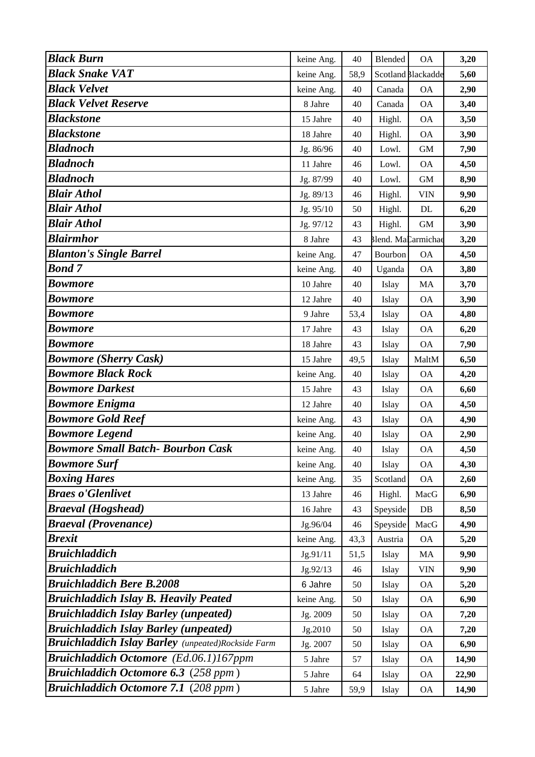| <b>Black Burn</b>                                         | keine Ang. | 40   | Blended            | <b>OA</b>          | 3,20  |
|-----------------------------------------------------------|------------|------|--------------------|--------------------|-------|
| <b>Black Snake VAT</b>                                    | keine Ang. | 58,9 |                    | Scotland Blackadde | 5,60  |
| <b>Black Velvet</b>                                       | keine Ang. | 40   | Canada             | <b>OA</b>          | 2,90  |
| <b>Black Velvet Reserve</b>                               | 8 Jahre    | 40   | Canada             | <b>OA</b>          | 3,40  |
| <b>Blackstone</b>                                         | 15 Jahre   | 40   | Highl.             | <b>OA</b>          | 3,50  |
| <b>Blackstone</b>                                         | 18 Jahre   | 40   | Highl.             | <b>OA</b>          | 3,90  |
| <b>Bladnoch</b>                                           | Jg. 86/96  | 40   | Lowl.              | <b>GM</b>          | 7,90  |
| <b>Bladnoch</b>                                           | 11 Jahre   | 46   | Lowl.              | <b>OA</b>          | 4,50  |
| <b>Bladnoch</b>                                           | Jg. 87/99  | 40   | Lowl.              | <b>GM</b>          | 8,90  |
| <b>Blair Athol</b>                                        | Jg. 89/13  | 46   | Highl.             | <b>VIN</b>         | 9,90  |
| <b>Blair Athol</b>                                        | Jg. 95/10  | 50   | Highl.             | $\rm DL$           | 6,20  |
| <b>Blair Athol</b>                                        | Jg. 97/12  | 43   | Highl.             | <b>GM</b>          | 3,90  |
| <b>Blairmhor</b>                                          | 8 Jahre    | 43   | Blend. MaCarmichae |                    | 3,20  |
| <b>Blanton's Single Barrel</b>                            | keine Ang. | 47   | Bourbon            | <b>OA</b>          | 4,50  |
| <b>Bond 7</b>                                             | keine Ang. | 40   | Uganda             | <b>OA</b>          | 3,80  |
| <b>Bowmore</b>                                            | 10 Jahre   | 40   | Islay              | MA                 | 3,70  |
| <b>Bowmore</b>                                            | 12 Jahre   | 40   | Islay              | <b>OA</b>          | 3,90  |
| <b>Bowmore</b>                                            | 9 Jahre    | 53,4 | Islay              | <b>OA</b>          | 4,80  |
| <b>Bowmore</b>                                            | 17 Jahre   | 43   | Islay              | <b>OA</b>          | 6,20  |
| <b>Bowmore</b>                                            | 18 Jahre   | 43   | Islay              | <b>OA</b>          | 7,90  |
| <b>Bowmore (Sherry Cask)</b>                              | 15 Jahre   | 49,5 | Islay              | MaltM              | 6,50  |
| <b>Bowmore Black Rock</b>                                 | keine Ang. | 40   | Islay              | <b>OA</b>          | 4,20  |
| <b>Bowmore Darkest</b>                                    | 15 Jahre   | 43   | Islay              | <b>OA</b>          | 6,60  |
| <b>Bowmore Enigma</b>                                     | 12 Jahre   | 40   | Islay              | <b>OA</b>          | 4,50  |
| <b>Bowmore Gold Reef</b>                                  | keine Ang. | 43   | Islay              | <b>OA</b>          | 4,90  |
| <b>Bowmore Legend</b>                                     | keine Ang. | 40   | Islay              | <b>OA</b>          | 2,90  |
| <b>Bowmore Small Batch- Bourbon Cask</b>                  | keine Ang. | 40   | Islay              | <b>OA</b>          | 4,50  |
| <b>Bowmore Surf</b>                                       | keine Ang. | 40   | Islay              | <b>OA</b>          | 4,30  |
| <b>Boxing Hares</b>                                       | keine Ang. | 35   | Scotland           | <b>OA</b>          | 2,60  |
| <b>Braes o'Glenlivet</b>                                  | 13 Jahre   | 46   | Highl.             | MacG               | 6,90  |
| <b>Braeval</b> (Hogshead)                                 | 16 Jahre   | 43   | Speyside           | DB                 | 8,50  |
| <b>Braeval (Provenance)</b>                               | Jg.96/04   | 46   | Speyside           | MacG               | 4,90  |
| <b>Brexit</b>                                             | keine Ang. | 43,3 | Austria            | <b>OA</b>          | 5,20  |
| <b>Bruichladdich</b>                                      | Jg.91/11   | 51,5 | Islay              | MA                 | 9,90  |
| <b>Bruichladdich</b>                                      | Jg.92/13   | 46   | Islay              | <b>VIN</b>         | 9,90  |
| <b>Bruichladdich Bere B.2008</b>                          | 6 Jahre    | 50   | Islay              | <b>OA</b>          | 5,20  |
| <b>Bruichladdich Islay B. Heavily Peated</b>              | keine Ang. | 50   | Islay              | <b>OA</b>          | 6,90  |
| <b>Bruichladdich Islay Barley (unpeated)</b>              | Jg. 2009   | 50   | Islay              | <b>OA</b>          | 7,20  |
| <b>Bruichladdich Islay Barley (unpeated)</b>              | Jg.2010    | 50   | Islay              | <b>OA</b>          | 7,20  |
| <b>Bruichladdich Islay Barley</b> (unpeated)Rockside Farm | Jg. 2007   | 50   | Islay              | <b>OA</b>          | 6,90  |
| Bruichladdich Octomore (Ed.06.1)167ppm                    | 5 Jahre    | 57   | Islay              | <b>OA</b>          | 14,90 |
| <b>Bruichladdich Octomore 6.3</b> (258 ppm)               | 5 Jahre    | 64   | Islay              | <b>OA</b>          | 22,90 |
| <b>Bruichladdich Octomore 7.1 (208 ppm)</b>               | 5 Jahre    | 59,9 | Islay              | <b>OA</b>          | 14,90 |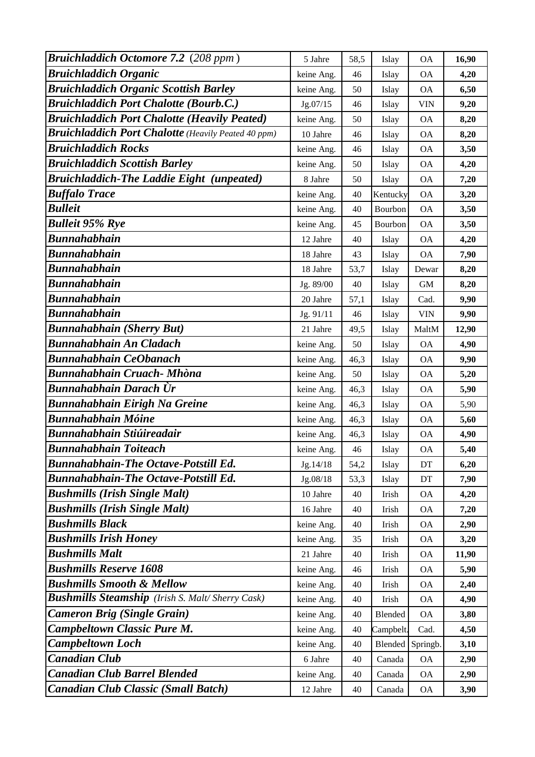| <b>Bruichladdich Octomore 7.2</b> (208 ppm)                | 5 Jahre    | 58,5 | Islay    | <b>OA</b>  | 16,90 |
|------------------------------------------------------------|------------|------|----------|------------|-------|
| <b>Bruichladdich Organic</b>                               | keine Ang. | 46   | Islay    | <b>OA</b>  | 4,20  |
| <b>Bruichladdich Organic Scottish Barley</b>               | keine Ang. | 50   | Islay    | <b>OA</b>  | 6,50  |
| <b>Bruichladdich Port Chalotte (Bourb.C.)</b>              | Jg.07/15   | 46   | Islay    | <b>VIN</b> | 9,20  |
| <b>Bruichladdich Port Chalotte (Heavily Peated)</b>        | keine Ang. | 50   | Islay    | <b>OA</b>  | 8,20  |
| <b>Bruichladdich Port Chalotte</b> (Heavily Peated 40 ppm) | 10 Jahre   | 46   | Islay    | <b>OA</b>  | 8,20  |
| <b>Bruichladdich Rocks</b>                                 | keine Ang. | 46   | Islay    | <b>OA</b>  | 3,50  |
| <b>Bruichladdich Scottish Barley</b>                       | keine Ang. | 50   | Islay    | <b>OA</b>  | 4,20  |
| <b>Bruichladdich-The Laddie Eight (unpeated)</b>           | 8 Jahre    | 50   | Islay    | <b>OA</b>  | 7,20  |
| <b>Buffalo Trace</b>                                       | keine Ang. | 40   | Kentucky | <b>OA</b>  | 3,20  |
| <b>Bulleit</b>                                             | keine Ang. | 40   | Bourbon  | <b>OA</b>  | 3,50  |
| <b>Bulleit 95% Rye</b>                                     | keine Ang. | 45   | Bourbon  | <b>OA</b>  | 3,50  |
| <b>Bunnahabhain</b>                                        | 12 Jahre   | 40   | Islay    | <b>OA</b>  | 4,20  |
| <b>Bunnahabhain</b>                                        | 18 Jahre   | 43   | Islay    | <b>OA</b>  | 7,90  |
| <b>Bunnahabhain</b>                                        | 18 Jahre   | 53,7 | Islay    | Dewar      | 8,20  |
| <b>Bunnahabhain</b>                                        | Jg. 89/00  | 40   | Islay    | <b>GM</b>  | 8,20  |
| <b>Bunnahabhain</b>                                        | 20 Jahre   | 57,1 | Islay    | Cad.       | 9,90  |
| <b>Bunnahabhain</b>                                        | Jg. 91/11  | 46   | Islay    | <b>VIN</b> | 9,90  |
| <b>Bunnahabhain (Sherry But)</b>                           | 21 Jahre   | 49,5 | Islay    | MaltM      | 12,90 |
| <b>Bunnahabhain An Cladach</b>                             | keine Ang. | 50   | Islay    | <b>OA</b>  | 4,90  |
| <b>Bunnahabhain CeObanach</b>                              | keine Ang. | 46,3 | Islay    | <b>OA</b>  | 9,90  |
| <b>Bunnahabhain Cruach- Mhòna</b>                          | keine Ang. | 50   | Islay    | <b>OA</b>  | 5,20  |
| Bunnahabhain Darach Ùr                                     | keine Ang. | 46,3 | Islay    | <b>OA</b>  | 5,90  |
| <b>Bunnahabhain Eirigh Na Greine</b>                       | keine Ang. | 46,3 | Islay    | <b>OA</b>  | 5,90  |
| <b>Bunnahabhain Móine</b>                                  | keine Ang. | 46,3 | Islay    | <b>OA</b>  | 5,60  |
| Bunnahabhain Stiúireadair                                  | keine Ang. | 46,3 | Islay    | <b>OA</b>  | 4,90  |
| <b>Bunnahabhain Toiteach</b>                               | keine Ang. | 46   | Islay    | <b>OA</b>  | 5,40  |
| <b>Bunnahabhain-The Octave-Potstill Ed.</b>                | Jg.14/18   | 54,2 | Islay    | DT         | 6,20  |
| <b>Bunnahabhain-The Octave-Potstill Ed.</b>                | Jg.08/18   | 53,3 | Islay    | DT         | 7,90  |
| <b>Bushmills (Irish Single Malt)</b>                       | 10 Jahre   | 40   | Irish    | <b>OA</b>  | 4,20  |
| <b>Bushmills (Irish Single Malt)</b>                       | 16 Jahre   | 40   | Irish    | <b>OA</b>  | 7,20  |
| <b>Bushmills Black</b>                                     | keine Ang. | 40   | Irish    | <b>OA</b>  | 2,90  |
| <b>Bushmills Irish Honey</b>                               | keine Ang. | 35   | Irish    | <b>OA</b>  | 3,20  |
| <b>Bushmills Malt</b>                                      | 21 Jahre   | 40   | Irish    | <b>OA</b>  | 11,90 |
| <b>Bushmills Reserve 1608</b>                              | keine Ang. | 46   | Irish    | <b>OA</b>  | 5,90  |
| <b>Bushmills Smooth &amp; Mellow</b>                       | keine Ang. | 40   | Irish    | <b>OA</b>  | 2,40  |
| <b>Bushmills Steamship</b> (Irish S. Malt/Sherry Cask)     | keine Ang. | 40   | Irish    | <b>OA</b>  | 4,90  |
| <b>Cameron Brig (Single Grain)</b>                         | keine Ang. | 40   | Blended  | <b>OA</b>  | 3,80  |
| <b>Campbeltown Classic Pure M.</b>                         | keine Ang. | 40   | Campbelt | Cad.       | 4,50  |
| <b>Campbeltown Loch</b>                                    | keine Ang. | 40   | Blended  | Springb.   | 3,10  |
| <b>Canadian Club</b>                                       | 6 Jahre    | 40   | Canada   | <b>OA</b>  | 2,90  |
| <b>Canadian Club Barrel Blended</b>                        | keine Ang. | 40   | Canada   | <b>OA</b>  | 2,90  |
| <b>Canadian Club Classic (Small Batch)</b>                 | 12 Jahre   | 40   | Canada   | <b>OA</b>  | 3,90  |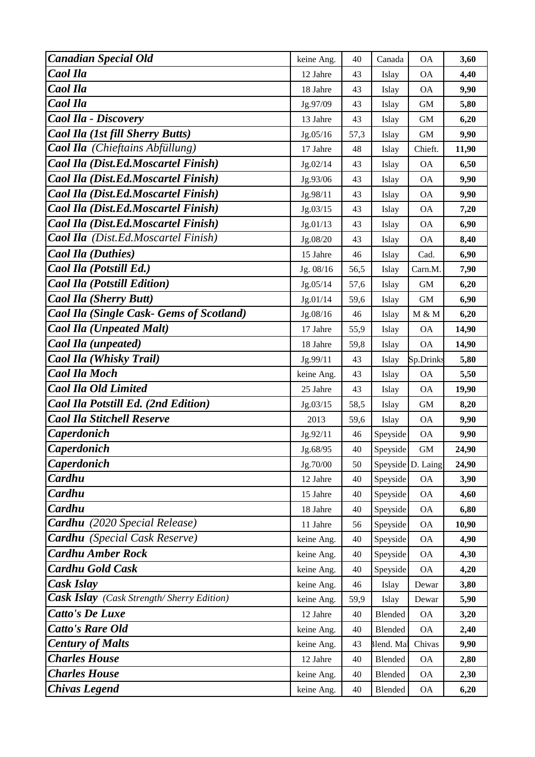| <b>Canadian Special Old</b>                      | keine Ang. | 40   | Canada            | <b>OA</b>     | 3,60  |
|--------------------------------------------------|------------|------|-------------------|---------------|-------|
| Caol Ila                                         | 12 Jahre   | 43   | Islay             | <b>OA</b>     | 4,40  |
| Caol Ila                                         | 18 Jahre   | 43   | Islay             | <b>OA</b>     | 9,90  |
| Caol Ila                                         | Jg.97/09   | 43   | Islay             | <b>GM</b>     | 5,80  |
| Caol Ila - Discovery                             | 13 Jahre   | 43   | Islay             | <b>GM</b>     | 6,20  |
| Caol Ila (1st fill Sherry Butts)                 | Jg.05/16   | 57,3 | Islay             | <b>GM</b>     | 9,90  |
| <b>Caol Ila</b> (Chieftains Abfüllung)           | 17 Jahre   | 48   | Islay             | Chieft.       | 11,90 |
| Caol Ila (Dist.Ed.Moscartel Finish)              | Jg.02/14   | 43   | Islay             | <b>OA</b>     | 6,50  |
| <b>Caol Ila (Dist.Ed.Moscartel Finish)</b>       | Jg.93/06   | 43   | Islay             | <b>OA</b>     | 9,90  |
| Caol Ila (Dist.Ed.Moscartel Finish)              | Jg.98/11   | 43   | Islay             | <b>OA</b>     | 9,90  |
| Caol Ila (Dist.Ed.Moscartel Finish)              | Jg.03/15   | 43   | Islay             | <b>OA</b>     | 7,20  |
| Caol Ila (Dist.Ed.Moscartel Finish)              | Jg.01/13   | 43   | Islay             | <b>OA</b>     | 6,90  |
| <b>Caol Ila</b> (Dist.Ed.Moscartel Finish)       | Jg.08/20   | 43   | Islay             | <b>OA</b>     | 8,40  |
| <b>Caol Ila (Duthies)</b>                        | 15 Jahre   | 46   | Islay             | Cad.          | 6,90  |
| Caol Ila (Potstill Ed.)                          | Jg. 08/16  | 56,5 | Islay             | Carn.M.       | 7,90  |
| <b>Caol Ila (Potstill Edition)</b>               | Jg.05/14   | 57,6 | Islay             | $\mbox{GM}$   | 6,20  |
| <b>Caol Ila (Sherry Butt)</b>                    | Jg.01/14   | 59,6 | Islay             | <b>GM</b>     | 6,90  |
| <b>Caol Ila (Single Cask- Gems of Scotland)</b>  | Jg.08/16   | 46   | Islay             | M & M         | 6,20  |
| <b>Caol Ila (Unpeated Malt)</b>                  | 17 Jahre   | 55,9 | Islay             | <b>OA</b>     | 14,90 |
| Caol Ila (unpeated)                              | 18 Jahre   | 59,8 | Islay             | <b>OA</b>     | 14,90 |
| Caol Ila (Whisky Trail)                          | Jg.99/11   | 43   | Islay             | Sp.Drinks     | 5,80  |
| <b>Caol Ila Moch</b>                             | keine Ang. | 43   | Islay             | <b>OA</b>     | 5,50  |
| <b>Caol Ila Old Limited</b>                      | 25 Jahre   | 43   | Islay             | <b>OA</b>     | 19,90 |
| Caol Ila Potstill Ed. (2nd Edition)              | Jg.03/15   | 58,5 | Islay             | <b>GM</b>     | 8,20  |
| <b>Caol Ila Stitchell Reserve</b>                | 2013       | 59,6 | Islay             | <b>OA</b>     | 9,90  |
| <b>Caperdonich</b>                               | Jg.92/11   | 46   | Speyside          | <b>OA</b>     | 9,90  |
| <b>Caperdonich</b>                               | Jg.68/95   | 40   | Speyside          | <b>GM</b>     | 24,90 |
| Caperdonich                                      | Jg.70/00   | 50   | Speyside D. Laing |               | 24,90 |
| Cardhu                                           | 12 Jahre   | 40   | Speyside          | <b>OA</b>     | 3,90  |
| Cardhu                                           | 15 Jahre   | 40   | Speyside          | <b>OA</b>     | 4,60  |
| Cardhu                                           | 18 Jahre   | 40   | Speyside          | <b>OA</b>     | 6,80  |
| Cardhu (2020 Special Release)                    | 11 Jahre   | 56   | Speyside          | <b>OA</b>     | 10,90 |
| <b>Cardhu</b> (Special Cask Reserve)             | keine Ang. | 40   | Speyside          | <b>OA</b>     | 4,90  |
| <b>Cardhu Amber Rock</b>                         | keine Ang. | 40   | Speyside          | <b>OA</b>     | 4,30  |
| <b>Cardhu Gold Cask</b>                          | keine Ang. | 40   | Speyside          | <b>OA</b>     | 4,20  |
| Cask Islay                                       | keine Ang. | 46   | Islay             | Dewar         | 3,80  |
| <b>Cask Islay</b> (Cask Strength/Sherry Edition) | keine Ang. | 59,9 | Islay             | Dewar         | 5,90  |
| <b>Catto's De Luxe</b>                           | 12 Jahre   | 40   | Blended           | <b>OA</b>     | 3,20  |
| <b>Catto's Rare Old</b>                          | keine Ang. | 40   | Blended           | <b>OA</b>     | 2,40  |
| <b>Century of Malts</b>                          | keine Ang. | 43   | Blend. Mal        | Chivas        | 9,90  |
| <b>Charles House</b>                             | 12 Jahre   | 40   | Blended           | <b>OA</b>     | 2,80  |
| <b>Charles House</b>                             | keine Ang. | 40   | Blended           | <b>OA</b>     | 2,30  |
| <b>Chivas Legend</b>                             | keine Ang. | 40   | Blended           | $\mathsf{OA}$ | 6,20  |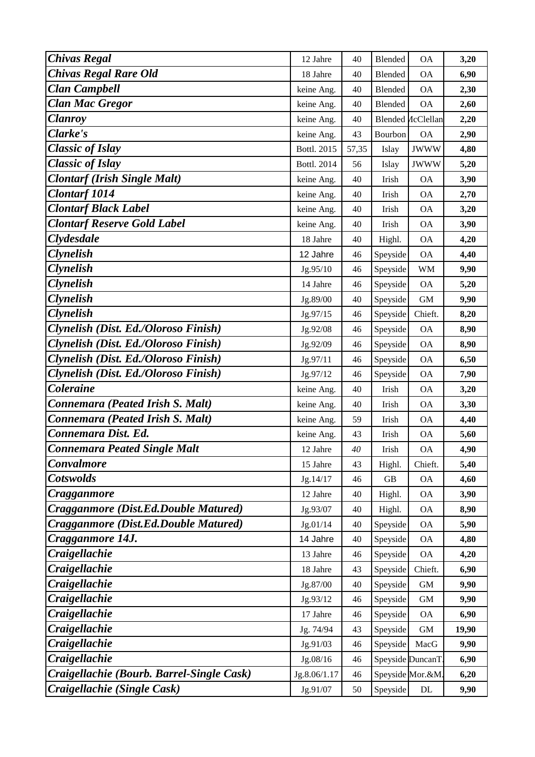| <b>Chivas Regal</b>                       | 12 Jahre     | 40    | <b>Blended</b>   | <b>OA</b>                | 3,20  |
|-------------------------------------------|--------------|-------|------------------|--------------------------|-------|
| <b>Chivas Regal Rare Old</b>              | 18 Jahre     | 40    | Blended          | <b>OA</b>                | 6,90  |
| <b>Clan Campbell</b>                      | keine Ang.   | 40    | Blended          | <b>OA</b>                | 2,30  |
| <b>Clan Mac Gregor</b>                    | keine Ang.   | 40    | Blended          | <b>OA</b>                | 2,60  |
| <b>Clanroy</b>                            | keine Ang.   | 40    |                  | <b>Blended AcClellan</b> | 2,20  |
| Clarke's                                  | keine Ang.   | 43    | Bourbon          | <b>OA</b>                | 2,90  |
| <b>Classic of Islay</b>                   | Bottl. 2015  | 57,35 | Islay            | <b>JWWW</b>              | 4,80  |
| <b>Classic of Islay</b>                   | Bottl. 2014  | 56    | Islay            | <b>JWWW</b>              | 5,20  |
| <b>Clontarf (Irish Single Malt)</b>       | keine Ang.   | 40    | Irish            | <b>OA</b>                | 3,90  |
| <b>Clontarf 1014</b>                      | keine Ang.   | 40    | Irish            | <b>OA</b>                | 2,70  |
| <b>Clontarf Black Label</b>               | keine Ang.   | 40    | Irish            | <b>OA</b>                | 3,20  |
| <b>Clontarf Reserve Gold Label</b>        | keine Ang.   | 40    | Irish            | <b>OA</b>                | 3,90  |
| <b>Clydesdale</b>                         | 18 Jahre     | 40    | Highl.           | <b>OA</b>                | 4,20  |
| <b>Clynelish</b>                          | 12 Jahre     | 46    | Speyside         | <b>OA</b>                | 4,40  |
| <b>Clynelish</b>                          | Jg.95/10     | 46    | Speyside         | <b>WM</b>                | 9,90  |
| <b>Clynelish</b>                          | 14 Jahre     | 46    | Speyside         | <b>OA</b>                | 5,20  |
| <b>Clynelish</b>                          | Jg.89/00     | 40    | Speyside         | <b>GM</b>                | 9,90  |
| <b>Clynelish</b>                          | Jg.97/15     | 46    | Speyside         | Chieft.                  | 8,20  |
| Clynelish (Dist. Ed./Oloroso Finish)      | Jg.92/08     | 46    | Speyside         | <b>OA</b>                | 8,90  |
| Clynelish (Dist. Ed./Oloroso Finish)      | Jg.92/09     | 46    | Speyside         | <b>OA</b>                | 8,90  |
| Clynelish (Dist. Ed./Oloroso Finish)      | Jg.97/11     | 46    | Speyside         | <b>OA</b>                | 6,50  |
| Clynelish (Dist. Ed./Oloroso Finish)      | Jg.97/12     | 46    | Speyside         | <b>OA</b>                | 7,90  |
| <b>Coleraine</b>                          | keine Ang.   | 40    | Irish            | <b>OA</b>                | 3,20  |
| Connemara (Peated Irish S. Malt)          | keine Ang.   | 40    | Irish            | <b>OA</b>                | 3,30  |
| Connemara (Peated Irish S. Malt)          | keine Ang.   | 59    | Irish            | <b>OA</b>                | 4,40  |
| Connemara Dist. Ed.                       | keine Ang.   | 43    | Irish            | <b>OA</b>                | 5,60  |
| <b>Connemara Peated Single Malt</b>       | 12 Jahre     | 40    | Irish            | <b>OA</b>                | 4,90  |
| Convalmore                                | 15 Jahre     | 43    | Highl.           | Chieft.                  | 5,40  |
| <b>Cotswolds</b>                          | Jg.14/17     | 46    | GB               | <b>OA</b>                | 4,60  |
| Cragganmore                               | 12 Jahre     | 40    | Highl.           | <b>OA</b>                | 3,90  |
| Cragganmore (Dist.Ed.Double Matured)      | Jg.93/07     | 40    | Highl.           | <b>OA</b>                | 8,90  |
| Cragganmore (Dist.Ed.Double Matured)      | Jg.01/14     | 40    | Speyside         | <b>OA</b>                | 5,90  |
| Cragganmore 14J.                          | 14 Jahre     | 40    | Speyside         | <b>OA</b>                | 4,80  |
| Craigellachie                             | 13 Jahre     | 46    | Speyside         | <b>OA</b>                | 4,20  |
| Craigellachie                             | 18 Jahre     | 43    | Speyside         | Chieft.                  | 6,90  |
| Craigellachie                             | Jg.87/00     | 40    | Speyside         | $\mbox{GM}$              | 9,90  |
| Craigellachie                             | Jg.93/12     | 46    | Speyside         | <b>GM</b>                | 9,90  |
| Craigellachie                             | 17 Jahre     | 46    | Speyside         | <b>OA</b>                | 6,90  |
| Craigellachie                             | Jg. 74/94    | 43    | Speyside         | $\mbox{GM}$              | 19,90 |
| Craigellachie                             | Jg.91/03     | 46    | Speyside         | MacG                     | 9,90  |
| Craigellachie                             | Jg.08/16     | 46    | Speyside DuncanT |                          | 6,90  |
| Craigellachie (Bourb. Barrel-Single Cask) | Jg.8.06/1.17 | 46    |                  | Speyside Mor.&M.         | 6,20  |
| Craigellachie (Single Cask)               | Jg.91/07     | 50    | Speyside         | $\mathbf{DL}$            | 9,90  |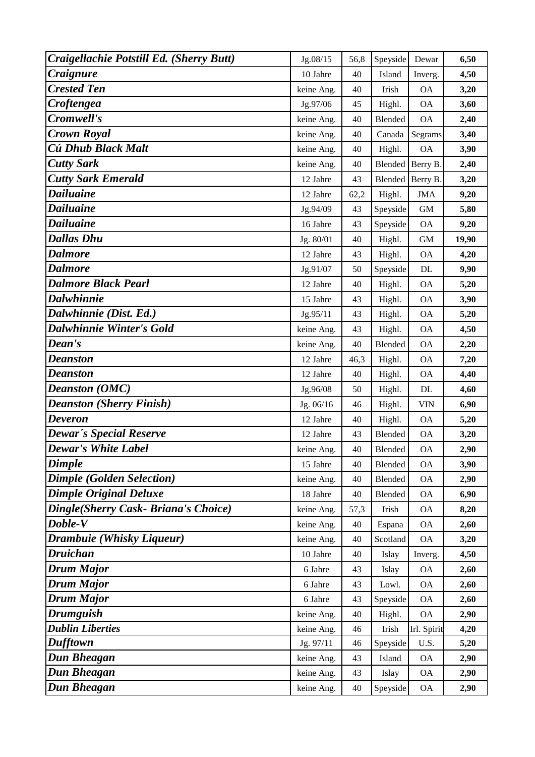| Craigellachie Potstill Ed. (Sherry Butt) | Jg.08/15   | 56,8 | Speyside         | Dewar       | 6,50  |
|------------------------------------------|------------|------|------------------|-------------|-------|
| Craignure                                | 10 Jahre   | 40   | Island           | Inverg.     | 4,50  |
| <b>Crested Ten</b>                       | keine Ang. | 40   | Irish            | <b>OA</b>   | 3,20  |
| Croftengea                               | Jg.97/06   | 45   | Highl.           | <b>OA</b>   | 3,60  |
| Cromwell's                               | keine Ang. | 40   | Blended          | <b>OA</b>   | 2,40  |
| <b>Crown Royal</b>                       | keine Ang. | 40   | Canada           | Segrams     | 3,40  |
| Cú Dhub Black Malt                       | keine Ang. | 40   | Highl.           | <b>OA</b>   | 3,90  |
| <b>Cutty Sark</b>                        | keine Ang. | 40   | Blended Berry B. |             | 2,40  |
| <b>Cutty Sark Emerald</b>                | 12 Jahre   | 43   | Blended          | Berry B.    | 3,20  |
| <b>Dailuaine</b>                         | 12 Jahre   | 62,2 | Highl.           | <b>JMA</b>  | 9,20  |
| Dailuaine                                | Jg.94/09   | 43   | Speyside         | $\mbox{GM}$ | 5,80  |
| <b>Dailuaine</b>                         | 16 Jahre   | 43   | Speyside         | <b>OA</b>   | 9,20  |
| <b>Dallas Dhu</b>                        | Jg. 80/01  | 40   | Highl.           | $\mbox{GM}$ | 19,90 |
| <b>Dalmore</b>                           | 12 Jahre   | 43   | Highl.           | <b>OA</b>   | 4,20  |
| <b>Dalmore</b>                           | Jg.91/07   | 50   | Speyside         | $\rm DL$    | 9,90  |
| <b>Dalmore Black Pearl</b>               | 12 Jahre   | 40   | Highl.           | <b>OA</b>   | 5,20  |
| <b>Dalwhinnie</b>                        | 15 Jahre   | 43   | Highl.           | <b>OA</b>   | 3,90  |
| Dalwhinnie (Dist. Ed.)                   | Jg.95/11   | 43   | Highl.           | <b>OA</b>   | 5,20  |
| <b>Dalwhinnie Winter's Gold</b>          | keine Ang. | 43   | Highl.           | <b>OA</b>   | 4,50  |
| Dean's                                   | keine Ang. | 40   | Blended          | <b>OA</b>   | 2,20  |
| Deanston                                 | 12 Jahre   | 46,3 | Highl.           | <b>OA</b>   | 7,20  |
| <b>Deanston</b>                          | 12 Jahre   | 40   | Highl.           | <b>OA</b>   | 4,40  |
| <b>Deanston (OMC)</b>                    | Jg.96/08   | 50   | Highl.           | $\rm DL$    | 4,60  |
| <b>Deanston (Sherry Finish)</b>          | Jg. 06/16  | 46   | Highl.           | <b>VIN</b>  | 6,90  |
| <b>Deveron</b>                           | 12 Jahre   | 40   | Highl.           | <b>OA</b>   | 5,20  |
| Dewar's Special Reserve                  | 12 Jahre   | 43   | Blended          | <b>OA</b>   | 3,20  |
| <b>Dewar's White Label</b>               | keine Ang. | 40   | Blended          | <b>OA</b>   | 2,90  |
| <b>Dimple</b>                            | 15 Jahre   | 40   | Blended          | <b>OA</b>   | 3,90  |
| <b>Dimple (Golden Selection)</b>         | keine Ang. | 40   | Blended          | <b>OA</b>   | 2,90  |
| <b>Dimple Original Deluxe</b>            | 18 Jahre   | 40   | Blended          | <b>OA</b>   | 6,90  |
| Dingle(Sherry Cask- Briana's Choice)     | keine Ang. | 57,3 | Irish            | <b>OA</b>   | 8,20  |
| Doble-V                                  | keine Ang. | 40   | Espana           | <b>OA</b>   | 2,60  |
| Drambuie (Whisky Liqueur)                | keine Ang. | 40   | Scotland         | <b>OA</b>   | 3,20  |
| <b>Druichan</b>                          | 10 Jahre   | 40   | Islay            | Inverg.     | 4,50  |
| Drum Major                               | 6 Jahre    | 43   | Islay            | <b>OA</b>   | 2,60  |
| <b>Drum Major</b>                        | 6 Jahre    | 43   | Lowl.            | <b>OA</b>   | 2,60  |
| <b>Drum Major</b>                        | 6 Jahre    | 43   | Speyside         | <b>OA</b>   | 2,60  |
| <b>Drumguish</b>                         | keine Ang. | 40   | Highl.           | <b>OA</b>   | 2,90  |
| <b>Dublin Liberties</b>                  | keine Ang. | 46   | Irish            | Irl. Spirit | 4,20  |
| Dufftown                                 | Jg. 97/11  | 46   | Speyside         | U.S.        | 5,20  |
| Dun Bheagan                              | keine Ang. | 43   | Island           | <b>OA</b>   | 2,90  |
| Dun Bheagan                              | keine Ang. | 43   | Islay            | 0A          | 2,90  |
| <b>Dun Bheagan</b>                       | keine Ang. | 40   | Speyside         | <b>OA</b>   | 2,90  |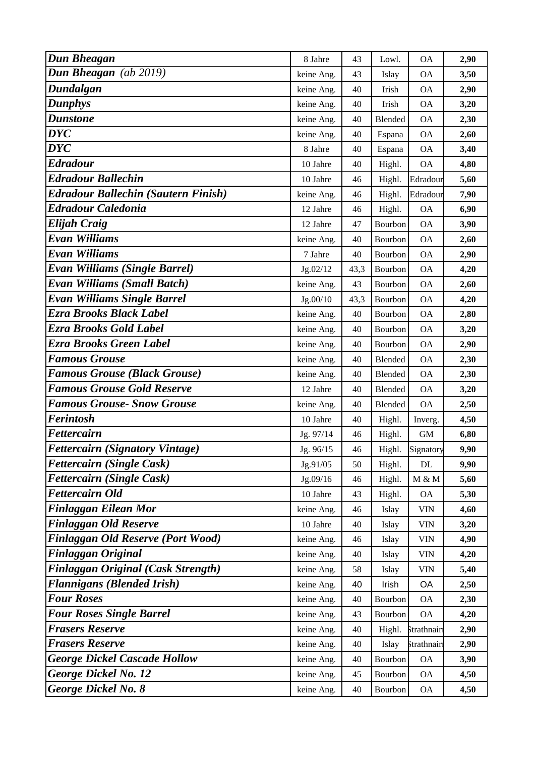| <b>Dun Bheagan</b>                         | 8 Jahre    | 43   | Lowl.   | <b>OA</b>   | 2,90 |
|--------------------------------------------|------------|------|---------|-------------|------|
| Dun Bheagan (ab 2019)                      | keine Ang. | 43   | Islay   | <b>OA</b>   | 3,50 |
| Dundalgan                                  | keine Ang. | 40   | Irish   | <b>OA</b>   | 2,90 |
| <b>Dunphys</b>                             | keine Ang. | 40   | Irish   | <b>OA</b>   | 3,20 |
| <b>Dunstone</b>                            | keine Ang. | 40   | Blended | <b>OA</b>   | 2,30 |
| <b>DYC</b>                                 | keine Ang. | 40   | Espana  | <b>OA</b>   | 2,60 |
| <b>DYC</b>                                 | 8 Jahre    | 40   | Espana  | <b>OA</b>   | 3,40 |
| <b>Edradour</b>                            | 10 Jahre   | 40   | Highl.  | <b>OA</b>   | 4,80 |
| <b>Edradour Ballechin</b>                  | 10 Jahre   | 46   | Highl.  | Edradour    | 5,60 |
| <b>Edradour Ballechin (Sautern Finish)</b> | keine Ang. | 46   | Highl.  | Edradour    | 7,90 |
| <b>Edradour Caledonia</b>                  | 12 Jahre   | 46   | Highl.  | <b>OA</b>   | 6,90 |
| <b>Elijah Craig</b>                        | 12 Jahre   | 47   | Bourbon | <b>OA</b>   | 3,90 |
| <b>Evan Williams</b>                       | keine Ang. | 40   | Bourbon | <b>OA</b>   | 2,60 |
| <b>Evan Williams</b>                       | 7 Jahre    | 40   | Bourbon | <b>OA</b>   | 2,90 |
| <b>Evan Williams (Single Barrel)</b>       | Jg.02/12   | 43,3 | Bourbon | <b>OA</b>   | 4,20 |
| <b>Evan Williams (Small Batch)</b>         | keine Ang. | 43   | Bourbon | <b>OA</b>   | 2,60 |
| <b>Evan Williams Single Barrel</b>         | Jg.00/10   | 43,3 | Bourbon | <b>OA</b>   | 4,20 |
| Ezra Brooks Black Label                    | keine Ang. | 40   | Bourbon | <b>OA</b>   | 2,80 |
| Ezra Brooks Gold Label                     | keine Ang. | 40   | Bourbon | <b>OA</b>   | 3,20 |
| <b>Ezra Brooks Green Label</b>             | keine Ang. | 40   | Bourbon | <b>OA</b>   | 2,90 |
| <b>Famous Grouse</b>                       | keine Ang. | 40   | Blended | <b>OA</b>   | 2,30 |
| <b>Famous Grouse (Black Grouse)</b>        | keine Ang. | 40   | Blended | <b>OA</b>   | 2,30 |
| <b>Famous Grouse Gold Reserve</b>          | 12 Jahre   | 40   | Blended | <b>OA</b>   | 3,20 |
| <b>Famous Grouse- Snow Grouse</b>          | keine Ang. | 40   | Blended | <b>OA</b>   | 2,50 |
| <b>Ferintosh</b>                           | 10 Jahre   | 40   | Highl.  | Inverg.     | 4,50 |
| <b>Fettercairn</b>                         | Jg. 97/14  | 46   | Highl.  | $\mbox{GM}$ | 6,80 |
| <b>Fettercairn (Signatory Vintage)</b>     | Jg. 96/15  | 46   | Highl.  | Signatory   | 9,90 |
| <b>Fettercairn (Single Cask)</b>           | Jg.91/05   | 50   | Highl.  | DL          | 9,90 |
| <b>Fettercairn (Single Cask)</b>           | Jg.09/16   | 46   | Highl.  | M & M       | 5,60 |
| <b>Fettercairn Old</b>                     | 10 Jahre   | 43   | Highl.  | <b>OA</b>   | 5,30 |
| <b>Finlaggan Eilean Mor</b>                | keine Ang. | 46   | Islay   | <b>VIN</b>  | 4,60 |
| <b>Finlaggan Old Reserve</b>               | 10 Jahre   | 40   | Islay   | <b>VIN</b>  | 3,20 |
| <b>Finlaggan Old Reserve (Port Wood)</b>   | keine Ang. | 46   | Islay   | <b>VIN</b>  | 4,90 |
| Finlaggan Original                         | keine Ang. | 40   | Islay   | <b>VIN</b>  | 4,20 |
| <b>Finlaggan Original (Cask Strength)</b>  | keine Ang. | 58   | Islay   | <b>VIN</b>  | 5,40 |
| <b>Flannigans (Blended Irish)</b>          | keine Ang. | 40   | Irish   | OA          | 2,50 |
| <b>Four Roses</b>                          | keine Ang. | 40   | Bourbon | <b>OA</b>   | 2,30 |
| <b>Four Roses Single Barrel</b>            | keine Ang. | 43   | Bourbon | <b>OA</b>   | 4,20 |
| <b>Frasers Reserve</b>                     | keine Ang. | 40   | Highl.  | Strathnairi | 2,90 |
| <b>Frasers Reserve</b>                     | keine Ang. | 40   | Islay   | Strathnair  | 2,90 |
| <b>George Dickel Cascade Hollow</b>        | keine Ang. | 40   | Bourbon | <b>OA</b>   | 3,90 |
| <b>George Dickel No. 12</b>                | keine Ang. | 45   | Bourbon | <b>OA</b>   | 4,50 |
| <b>George Dickel No. 8</b>                 | keine Ang. | 40   | Bourbon | <b>OA</b>   | 4,50 |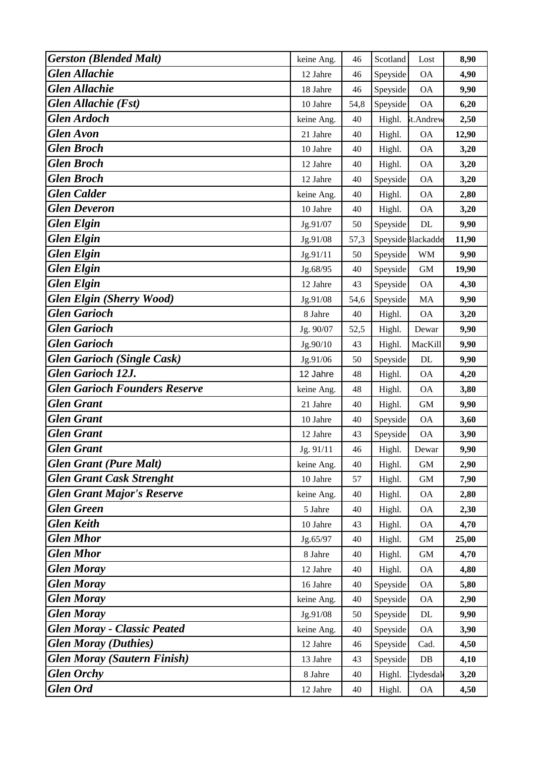| <b>Gerston (Blended Malt)</b>        | keine Ang. | 46   | Scotland | Lost               | 8,90  |
|--------------------------------------|------------|------|----------|--------------------|-------|
| <b>Glen Allachie</b>                 | 12 Jahre   | 46   | Speyside | <b>OA</b>          | 4,90  |
| <b>Glen Allachie</b>                 | 18 Jahre   | 46   | Speyside | <b>OA</b>          | 9,90  |
| <b>Glen Allachie (Fst)</b>           | 10 Jahre   | 54,8 | Speyside | <b>OA</b>          | 6,20  |
| <b>Glen Ardoch</b>                   | keine Ang. | 40   | Highl.   | st.Andrew          | 2,50  |
| <b>Glen</b> Avon                     | 21 Jahre   | 40   | Highl.   | <b>OA</b>          | 12,90 |
| <b>Glen Broch</b>                    | 10 Jahre   | 40   | Highl.   | <b>OA</b>          | 3,20  |
| <b>Glen Broch</b>                    | 12 Jahre   | 40   | Highl.   | <b>OA</b>          | 3,20  |
| <b>Glen Broch</b>                    | 12 Jahre   | 40   | Speyside | <b>OA</b>          | 3,20  |
| <b>Glen Calder</b>                   | keine Ang. | 40   | Highl.   | <b>OA</b>          | 2,80  |
| <b>Glen Deveron</b>                  | 10 Jahre   | 40   | Highl.   | <b>OA</b>          | 3,20  |
| <b>Glen Elgin</b>                    | Jg.91/07   | 50   | Speyside | DL                 | 9,90  |
| <b>Glen Elgin</b>                    | Jg.91/08   | 57,3 |          | Speyside Blackadde | 11,90 |
| <b>Glen Elgin</b>                    | Jg.91/11   | 50   | Speyside | <b>WM</b>          | 9,90  |
| <b>Glen Elgin</b>                    | Jg.68/95   | 40   | Speyside | <b>GM</b>          | 19,90 |
| <b>Glen Elgin</b>                    | 12 Jahre   | 43   | Speyside | <b>OA</b>          | 4,30  |
| <b>Glen Elgin (Sherry Wood)</b>      | Jg.91/08   | 54,6 | Speyside | MA                 | 9,90  |
| <b>Glen Garioch</b>                  | 8 Jahre    | 40   | Highl.   | <b>OA</b>          | 3,20  |
| <b>Glen Garioch</b>                  | Jg. 90/07  | 52,5 | Highl.   | Dewar              | 9,90  |
| <b>Glen Garioch</b>                  | Jg.90/10   | 43   | Highl.   | MacKill            | 9,90  |
| <b>Glen Garioch (Single Cask)</b>    | Jg.91/06   | 50   | Speyside | DL                 | 9,90  |
| <b>Glen Garioch 12J.</b>             | 12 Jahre   | 48   | Highl.   | <b>OA</b>          | 4,20  |
| <b>Glen Garioch Founders Reserve</b> | keine Ang. | 48   | Highl.   | <b>OA</b>          | 3,80  |
| <b>Glen Grant</b>                    | 21 Jahre   | 40   | Highl.   | $\,$ GM $\,$       | 9,90  |
| <b>Glen Grant</b>                    | 10 Jahre   | 40   | Speyside | <b>OA</b>          | 3,60  |
| <b>Glen Grant</b>                    | 12 Jahre   | 43   | Speyside | <b>OA</b>          | 3,90  |
| <b>Glen Grant</b>                    | Jg. 91/11  | 46   | Highl.   | Dewar              | 9,90  |
| <b>Glen Grant (Pure Malt)</b>        | keine Ang. | 40   | Highl.   | $\mbox{GM}$        | 2,90  |
| <b>Glen Grant Cask Strenght</b>      | 10 Jahre   | 57   | Highl.   | $\mbox{GM}$        | 7,90  |
| <b>Glen Grant Major's Reserve</b>    | keine Ang. | 40   | Highl.   | <b>OA</b>          | 2,80  |
| <b>Glen Green</b>                    | 5 Jahre    | 40   | Highl.   | <b>OA</b>          | 2,30  |
| <b>Glen Keith</b>                    | 10 Jahre   | 43   | Highl.   | <b>OA</b>          | 4,70  |
| <b>Glen Mhor</b>                     | Jg.65/97   | 40   | Highl.   | $\,$ GM $\,$       | 25,00 |
| <b>Glen Mhor</b>                     | 8 Jahre    | 40   | Highl.   | $\,$ GM $\,$       | 4,70  |
| <b>Glen Moray</b>                    | 12 Jahre   | 40   | Highl.   | <b>OA</b>          | 4,80  |
| <b>Glen Moray</b>                    | 16 Jahre   | 40   | Speyside | <b>OA</b>          | 5,80  |
| <b>Glen Moray</b>                    | keine Ang. | 40   | Speyside | <b>OA</b>          | 2,90  |
| <b>Glen Moray</b>                    | Jg.91/08   | 50   | Speyside | $\rm DL$           | 9,90  |
| <b>Glen Moray - Classic Peated</b>   | keine Ang. | 40   | Speyside | <b>OA</b>          | 3,90  |
| <b>Glen Moray (Duthies)</b>          | 12 Jahre   | 46   | Speyside | Cad.               | 4,50  |
| <b>Glen Moray (Sautern Finish)</b>   | 13 Jahre   | 43   | Speyside | DB                 | 4,10  |
| <b>Glen Orchy</b>                    | 8 Jahre    | 40   | Highl.   | Clydesdal          | 3,20  |
| <b>Glen Ord</b>                      | 12 Jahre   | 40   | Highl.   | <b>OA</b>          | 4,50  |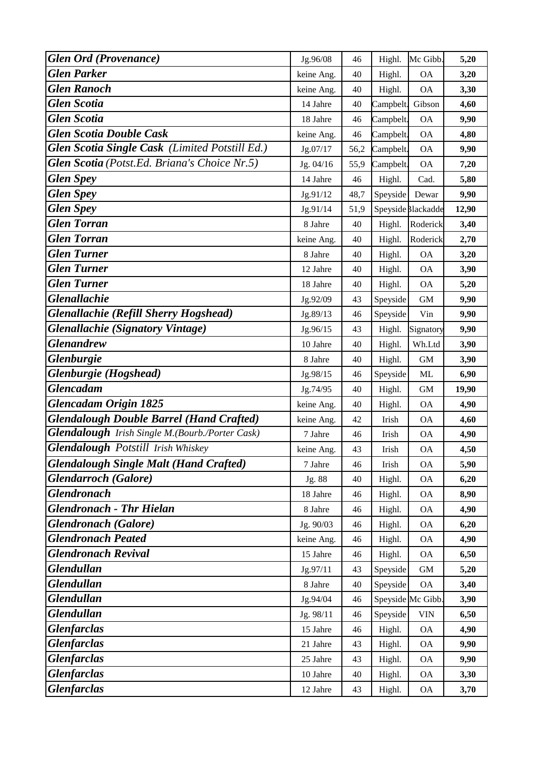| <b>Glen Ord (Provenance)</b>                           | Jg.96/08   | 46   | Highl.    | Mc Gibb.           | 5,20  |
|--------------------------------------------------------|------------|------|-----------|--------------------|-------|
| <b>Glen Parker</b>                                     | keine Ang. | 40   | Highl.    | <b>OA</b>          | 3,20  |
| <b>Glen Ranoch</b>                                     | keine Ang. | 40   | Highl.    | <b>OA</b>          | 3,30  |
| <b>Glen Scotia</b>                                     | 14 Jahre   | 40   | Campbelt. | Gibson             | 4,60  |
| <b>Glen Scotia</b>                                     | 18 Jahre   | 46   | Campbelt. | <b>OA</b>          | 9,90  |
| <b>Glen Scotia Double Cask</b>                         | keine Ang. | 46   | Campbelt. | <b>OA</b>          | 4,80  |
| Glen Scotia Single Cask (Limited Potstill Ed.)         | Jg.07/17   | 56,2 | Campbelt. | <b>OA</b>          | 9,90  |
| Glen Scotia (Potst.Ed. Briana's Choice Nr.5)           | Jg. 04/16  | 55,9 | Campbelt. | <b>OA</b>          | 7,20  |
| <b>Glen Spey</b>                                       | 14 Jahre   | 46   | Highl.    | Cad.               | 5,80  |
| <b>Glen Spey</b>                                       | Jg.91/12   | 48,7 | Speyside  | Dewar              | 9,90  |
| <b>Glen Spey</b>                                       | Jg.91/14   | 51,9 |           | Speyside Blackadde | 12,90 |
| <b>Glen Torran</b>                                     | 8 Jahre    | 40   | Highl.    | Roderick           | 3,40  |
| <b>Glen Torran</b>                                     | keine Ang. | 40   | Highl.    | Roderick           | 2,70  |
| <b>Glen Turner</b>                                     | 8 Jahre    | 40   | Highl.    | <b>OA</b>          | 3,20  |
| <b>Glen Turner</b>                                     | 12 Jahre   | 40   | Highl.    | <b>OA</b>          | 3,90  |
| <b>Glen Turner</b>                                     | 18 Jahre   | 40   | Highl.    | <b>OA</b>          | 5,20  |
| <b>Glenallachie</b>                                    | Jg.92/09   | 43   | Speyside  | $\mbox{GM}$        | 9,90  |
| <b>Glenallachie (Refill Sherry Hogshead)</b>           | Jg.89/13   | 46   | Speyside  | Vin                | 9,90  |
| <b>Glenallachie (Signatory Vintage)</b>                | Jg.96/15   | 43   | Highl.    | Signatory          | 9,90  |
| <b>Glenandrew</b>                                      | 10 Jahre   | 40   | Highl.    | Wh.Ltd             | 3,90  |
| <b>Glenburgie</b>                                      | 8 Jahre    | 40   | Highl.    | $\mbox{GM}$        | 3,90  |
| Glenburgie (Hogshead)                                  | Jg.98/15   | 46   | Speyside  | <b>ML</b>          | 6,90  |
| <b>Glencadam</b>                                       | Jg.74/95   | 40   | Highl.    | <b>GM</b>          | 19,90 |
| <b>Glencadam Origin 1825</b>                           | keine Ang. | 40   | Highl.    | <b>OA</b>          | 4,90  |
| <b>Glendalough Double Barrel (Hand Crafted)</b>        | keine Ang. | 42   | Irish     | <b>OA</b>          | 4,60  |
| <b>Glendalough</b> Irish Single M.(Bourb./Porter Cask) | 7 Jahre    | 46   | Irish     | <b>OA</b>          | 4,90  |
| <b>Glendalough Potstill Irish Whiskey</b>              | keine Ang. | 43   | Irish     | <b>OA</b>          | 4,50  |
| <b>Glendalough Single Malt (Hand Crafted)</b>          | 7 Jahre    | 46   | Irish     | <b>OA</b>          | 5,90  |
| <b>Glendarroch</b> (Galore)                            | Jg. 88     | 40   | Highl.    | <b>OA</b>          | 6,20  |
| <b>Glendronach</b>                                     | 18 Jahre   | 46   | Highl.    | <b>OA</b>          | 8,90  |
| <b>Glendronach - Thr Hielan</b>                        | 8 Jahre    | 46   | Highl.    | <b>OA</b>          | 4,90  |
| <b>Glendronach</b> (Galore)                            | Jg. 90/03  | 46   | Highl.    | <b>OA</b>          | 6,20  |
| <b>Glendronach Peated</b>                              | keine Ang. | 46   | Highl.    | <b>OA</b>          | 4,90  |
| <b>Glendronach Revival</b>                             | 15 Jahre   | 46   | Highl.    | <b>OA</b>          | 6,50  |
| <b>Glendullan</b>                                      | Jg.97/11   | 43   | Speyside  | $\mbox{GM}$        | 5,20  |
| <b>Glendullan</b>                                      | 8 Jahre    | 40   | Speyside  | <b>OA</b>          | 3,40  |
| <b>Glendullan</b>                                      | Jg.94/04   | 46   |           | Speyside Mc Gibb.  | 3,90  |
| <b>Glendullan</b>                                      | Jg. 98/11  | 46   | Speyside  | <b>VIN</b>         | 6,50  |
| <b>Glenfarclas</b>                                     | 15 Jahre   | 46   | Highl.    | <b>OA</b>          | 4,90  |
| <b>Glenfarclas</b>                                     | 21 Jahre   | 43   | Highl.    | <b>OA</b>          | 9,90  |
| <b>Glenfarclas</b>                                     | 25 Jahre   | 43   | Highl.    | <b>OA</b>          | 9,90  |
| <b>Glenfarclas</b>                                     | 10 Jahre   | 40   | Highl.    | <b>OA</b>          | 3,30  |
| <b>Glenfarclas</b>                                     | 12 Jahre   | 43   | Highl.    | $\overline{OA}$    | 3,70  |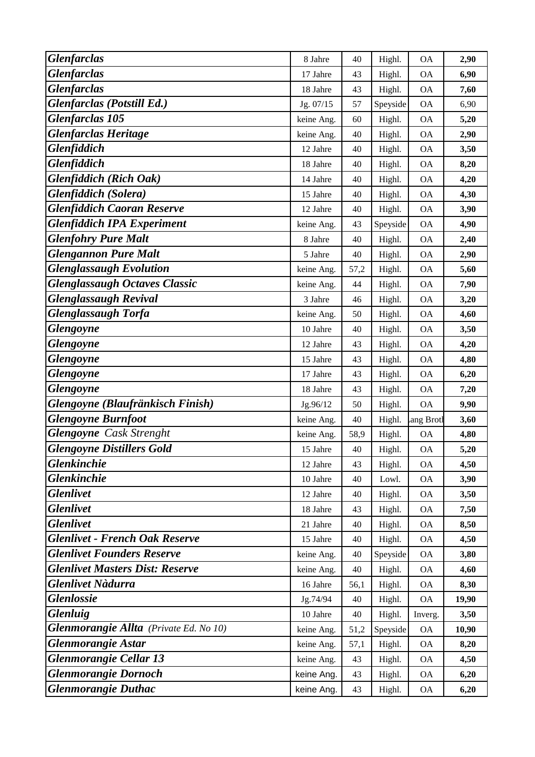| <b>Glenfarclas</b>                     | 8 Jahre    | 40   | Highl.   | <b>OA</b>                | 2,90  |
|----------------------------------------|------------|------|----------|--------------------------|-------|
| <b>Glenfarclas</b>                     | 17 Jahre   | 43   | Highl.   | <b>OA</b>                | 6,90  |
| <b>Glenfarclas</b>                     | 18 Jahre   | 43   | Highl.   | <b>OA</b>                | 7,60  |
| Glenfarclas (Potstill Ed.)             | Jg. 07/15  | 57   | Speyside | <b>OA</b>                | 6,90  |
| <b>Glenfarclas 105</b>                 | keine Ang. | 60   | Highl.   | <b>OA</b>                | 5,20  |
| <b>Glenfarclas Heritage</b>            | keine Ang. | 40   | Highl.   | <b>OA</b>                | 2,90  |
| <b>Glenfiddich</b>                     | 12 Jahre   | 40   | Highl.   | <b>OA</b>                | 3,50  |
| <b>Glenfiddich</b>                     | 18 Jahre   | 40   | Highl.   | <b>OA</b>                | 8,20  |
| <b>Glenfiddich (Rich Oak)</b>          | 14 Jahre   | 40   | Highl.   | <b>OA</b>                | 4,20  |
| Glenfiddich (Solera)                   | 15 Jahre   | 40   | Highl.   | <b>OA</b>                | 4,30  |
| <b>Glenfiddich Caoran Reserve</b>      | 12 Jahre   | 40   | Highl.   | <b>OA</b>                | 3,90  |
| <b>Glenfiddich IPA Experiment</b>      | keine Ang. | 43   | Speyside | <b>OA</b>                | 4,90  |
| <b>Glenfohry Pure Malt</b>             | 8 Jahre    | 40   | Highl.   | <b>OA</b>                | 2,40  |
| <b>Glengannon Pure Malt</b>            | 5 Jahre    | 40   | Highl.   | <b>OA</b>                | 2,90  |
| <b>Glenglassaugh Evolution</b>         | keine Ang. | 57,2 | Highl.   | <b>OA</b>                | 5,60  |
| <b>Glenglassaugh Octaves Classic</b>   | keine Ang. | 44   | Highl.   | <b>OA</b>                | 7,90  |
| <b>Glenglassaugh Revival</b>           | 3 Jahre    | 46   | Highl.   | <b>OA</b>                | 3,20  |
| <b>Glenglassaugh Torfa</b>             | keine Ang. | 50   | Highl.   | <b>OA</b>                | 4,60  |
| Glengoyne                              | 10 Jahre   | 40   | Highl.   | <b>OA</b>                | 3,50  |
| <b>Glengoyne</b>                       | 12 Jahre   | 43   | Highl.   | <b>OA</b>                | 4,20  |
| <b>Glengoyne</b>                       | 15 Jahre   | 43   | Highl.   | <b>OA</b>                | 4,80  |
| <b>Glengoyne</b>                       | 17 Jahre   | 43   | Highl.   | <b>OA</b>                | 6,20  |
| <b>Glengoyne</b>                       | 18 Jahre   | 43   | Highl.   | <b>OA</b>                | 7,20  |
| Glengoyne (Blaufränkisch Finish)       | Jg.96/12   | 50   | Highl.   | <b>OA</b>                | 9,90  |
| <b>Glengoyne Burnfoot</b>              | keine Ang. | 40   | Highl.   | ang Brotl                | 3,60  |
| <b>Glengoyne</b> Cask Strenght         | keine Ang. | 58,9 | Highl.   | <b>OA</b>                | 4,80  |
| <b>Glengoyne Distillers Gold</b>       | 15 Jahre   | 40   | Highl.   | <b>OA</b>                | 5,20  |
| <b>Glenkinchie</b>                     | 12 Jahre   | 43   | Highl.   | <b>OA</b>                | 4,50  |
| <b>Glenkinchie</b>                     | 10 Jahre   | 40   | Lowl.    | <b>OA</b>                | 3,90  |
| <b>Glenlivet</b>                       | 12 Jahre   | 40   | Highl.   | <b>OA</b>                | 3,50  |
| <b>Glenlivet</b>                       | 18 Jahre   | 43   | Highl.   | <b>OA</b>                | 7,50  |
| <b>Glenlivet</b>                       | 21 Jahre   | 40   | Highl.   | <b>OA</b>                | 8,50  |
| <b>Glenlivet - French Oak Reserve</b>  | 15 Jahre   | 40   | Highl.   | <b>OA</b>                | 4,50  |
| <b>Glenlivet Founders Reserve</b>      | keine Ang. | 40   | Speyside | <b>OA</b>                | 3,80  |
| <b>Glenlivet Masters Dist: Reserve</b> | keine Ang. | 40   | Highl.   | <b>OA</b>                | 4,60  |
| <b>Glenlivet Nàdurra</b>               | 16 Jahre   | 56,1 | Highl.   | <b>OA</b>                | 8,30  |
| <b>Glenlossie</b>                      | Jg.74/94   | 40   | Highl.   | <b>OA</b>                | 19,90 |
| <b>Glenluig</b>                        | 10 Jahre   | 40   | Highl.   | Inverg.                  | 3,50  |
| Glenmorangie Allta (Private Ed. No 10) | keine Ang. | 51,2 | Speyside | <b>OA</b>                | 10,90 |
| <b>Glenmorangie Astar</b>              | keine Ang. | 57,1 | Highl.   | <b>OA</b>                | 8,20  |
| <b>Glenmorangie Cellar 13</b>          | keine Ang. | 43   | Highl.   | <b>OA</b>                | 4,50  |
| <b>Glenmorangie Dornoch</b>            | keine Ang. | 43   | Highl.   | <b>OA</b>                | 6,20  |
| <b>Glenmorangie Duthac</b>             | keine Ang. | 43   | Highl.   | $\mathcal{O}\mathcal{A}$ | 6,20  |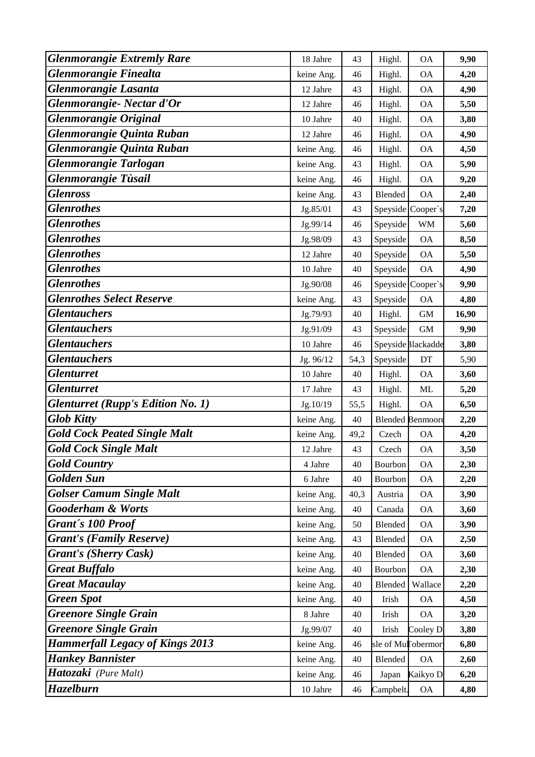| <b>Glenmorangie Extremly Rare</b>        | 18 Jahre             | 43   | Highl.    | <b>OA</b>               | 9,90  |
|------------------------------------------|----------------------|------|-----------|-------------------------|-------|
| Glenmorangie Finealta                    | keine Ang.           | 46   | Highl.    | <b>OA</b>               | 4,20  |
| <b>Glenmorangie Lasanta</b>              | 12 Jahre             | 43   | Highl.    | <b>OA</b>               | 4,90  |
| Glenmorangie- Nectar d'Or                | 12 Jahre             | 46   | Highl.    | <b>OA</b>               | 5,50  |
| <b>Glenmorangie Original</b>             | 10 Jahre             | 40   | Highl.    | <b>OA</b>               | 3,80  |
| Glenmorangie Quinta Ruban                | 12 Jahre             | 46   | Highl.    | <b>OA</b>               | 4,90  |
| Glenmorangie Quinta Ruban                | keine Ang.           | 46   | Highl.    | <b>OA</b>               | 4,50  |
| <b>Glenmorangie Tarlogan</b>             | keine Ang.           | 43   | Highl.    | <b>OA</b>               | 5,90  |
| <b>Glenmorangie Tùsail</b>               | keine Ang.           | 46   | Highl.    | <b>OA</b>               | 9,20  |
| <b>Glenross</b>                          | keine Ang.           | 43   | Blended   | <b>OA</b>               | 2,40  |
| <b>Glenrothes</b>                        | Jg.85/01             | 43   |           | Speyside Cooper's       | 7,20  |
| <b>Glenrothes</b>                        | Jg.99/14             | 46   | Speyside  | <b>WM</b>               | 5,60  |
| <b>Glenrothes</b>                        | Jg.98/09             | 43   | Speyside  | <b>OA</b>               | 8,50  |
| <b>Glenrothes</b>                        | 12 Jahre             | 40   | Speyside  | <b>OA</b>               | 5,50  |
| <b>Glenrothes</b>                        | 10 Jahre             | 40   | Speyside  | <b>OA</b>               | 4,90  |
| <b>Glenrothes</b>                        | Jg.90/08             | 46   |           | Speyside Cooper's       | 9,90  |
| <b>Glenrothes Select Reserve</b>         | keine Ang.           | 43   | Speyside  | <b>OA</b>               | 4,80  |
| <b>Glentauchers</b>                      | Jg.79/93             | 40   | Highl.    | <b>GM</b>               | 16,90 |
| <b>Glentauchers</b>                      | Jg.91/09             | 43   | Speyside  | $\mbox{GM}$             | 9,90  |
| <b>Glentauchers</b>                      | 10 Jahre             | 46   |           | Speyside Blackadde      | 3,80  |
| <b>Glentauchers</b>                      | Jg. 96/12            | 54,3 | Speyside  | DT                      | 5,90  |
| <b>Glenturret</b>                        | 10 Jahre             | 40   | Highl.    | <b>OA</b>               | 3,60  |
| <b>Glenturret</b>                        | 17 Jahre             | 43   | Highl.    | <b>ML</b>               | 5,20  |
| <b>Glenturret (Rupp's Edition No. 1)</b> | Jg.10/19             | 55,5 | Highl.    | <b>OA</b>               | 6,50  |
| <b>Glob Kitty</b>                        | keine Ang.           | 40   |           | <b>Blended Benmoore</b> | 2,20  |
| <b>Gold Cock Peated Single Malt</b>      | keine Ang.           | 49,2 | Czech     | <b>OA</b>               | 4,20  |
| <b>Gold Cock Single Malt</b>             | 12 Jahre             | 43   | Czech     | <b>OA</b>               | 3,50  |
| <b>Gold Country</b>                      | 4 Jahre              | 40   | Bourbon   | <b>OA</b>               | 2,30  |
| <b>Golden Sun</b>                        | 6 Jahre              | 40   | Bourbon   | <b>OA</b>               | 2,20  |
| <b>Golser Camum Single Malt</b>          | keine Ang.           | 40,3 | Austria   | <b>OA</b>               | 3,90  |
| <b>Gooderham &amp; Worts</b>             | keine Ang.           | 40   | Canada    | <b>OA</b>               | 3,60  |
| Grant's 100 Proof                        | keine Ang.           | 50   | Blended   | <b>OA</b>               | 3,90  |
| <b>Grant's (Family Reserve)</b>          | keine Ang.           | 43   | Blended   | <b>OA</b>               | 2,50  |
| <b>Grant's (Sherry Cask)</b>             | keine Ang.           | 40   | Blended   | <b>OA</b>               | 3,60  |
| <b>Great Buffalo</b>                     | keine Ang.           | 40   | Bourbon   | <b>OA</b>               | 2,30  |
| <b>Great Macaulay</b>                    | keine Ang.           | 40   | Blended   | Wallace                 | 2,20  |
| <b>Green Spot</b>                        | keine Ang.           | 40   | Irish     | <b>OA</b>               | 4,50  |
| <b>Greenore Single Grain</b>             | 8 Jahre              | 40   | Irish     | <b>OA</b>               | 3,20  |
| <b>Greenore Single Grain</b>             | Jg.99/07             | 40   | Irish     | Cooley D                | 3,80  |
| <b>Hammerfall Legacy of Kings 2013</b>   | keine Ang.           | 46   |           | sle of Mullobermor      | 6,80  |
| <b>Hankey Bannister</b>                  | keine Ang.           | 40   | Blended   | <b>OA</b>               | 2,60  |
| Hatozaki (Pure Malt)                     | keine Ang.           | 46   | Japan     | Kaikyo D                | 6,20  |
| Hazelburn                                | $10\ \mathrm{Jahre}$ | 46   | Campbelt. | <b>OA</b>               | 4,80  |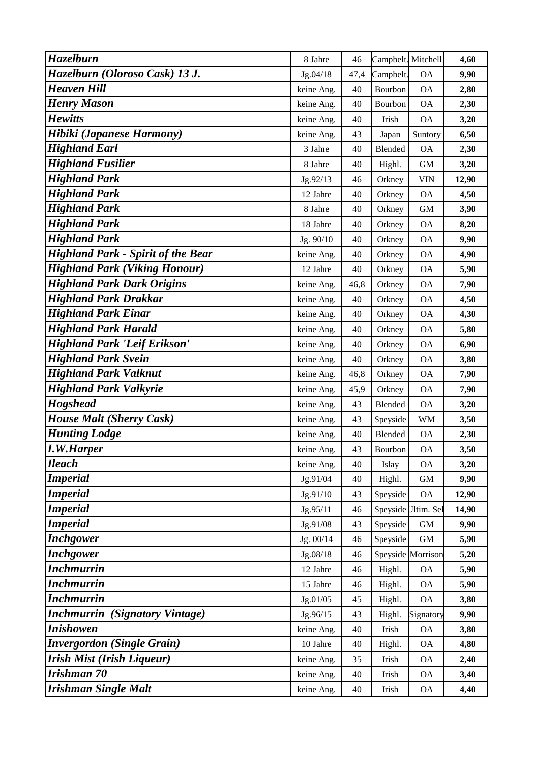| Hazelburn                                       | 8 Jahre    | 46     | Campbelt. Mitchell |                     | 4,60  |
|-------------------------------------------------|------------|--------|--------------------|---------------------|-------|
| Hazelburn (Oloroso Cask) 13 J.                  | Jg.04/18   | 47,4   | Campbelt.          | <b>OA</b>           | 9,90  |
| <b>Heaven Hill</b>                              | keine Ang. | 40     | Bourbon            | <b>OA</b>           | 2,80  |
| <b>Henry Mason</b>                              | keine Ang. | 40     | Bourbon            | <b>OA</b>           | 2,30  |
| <b>Hewitts</b>                                  | keine Ang. | 40     | Irish              | <b>OA</b>           | 3,20  |
| Hibiki (Japanese Harmony)                       | keine Ang. | 43     | Japan              | Suntory             | 6,50  |
| <b>Highland Earl</b>                            | 3 Jahre    | 40     | Blended            | <b>OA</b>           | 2,30  |
| <b>Highland Fusilier</b>                        | 8 Jahre    | 40     | Highl.             | <b>GM</b>           | 3,20  |
| <b>Highland Park</b>                            | Jg.92/13   | 46     | Orkney             | <b>VIN</b>          | 12,90 |
| <b>Highland Park</b>                            | 12 Jahre   | 40     | Orkney             | <b>OA</b>           | 4,50  |
| <b>Highland Park</b>                            | 8 Jahre    | 40     | Orkney             | $\mbox{GM}$         | 3,90  |
| <b>Highland Park</b>                            | 18 Jahre   | 40     | Orkney             | <b>OA</b>           | 8,20  |
| <b>Highland Park</b>                            | Jg. 90/10  | 40     | Orkney             | <b>OA</b>           | 9,90  |
| <b>Highland Park - Spirit of the Bear</b>       | keine Ang. | 40     | Orkney             | <b>OA</b>           | 4,90  |
| <b>Highland Park (Viking Honour)</b>            | 12 Jahre   | 40     | Orkney             | <b>OA</b>           | 5,90  |
| <b>Highland Park Dark Origins</b>               | keine Ang. | 46,8   | Orkney             | <b>OA</b>           | 7,90  |
| <b>Highland Park Drakkar</b>                    | keine Ang. | 40     | Orkney             | <b>OA</b>           | 4,50  |
| <b>Highland Park Einar</b>                      | keine Ang. | 40     | Orkney             | <b>OA</b>           | 4,30  |
| <b>Highland Park Harald</b>                     | keine Ang. | 40     | Orkney             | <b>OA</b>           | 5,80  |
| Highland Park 'Leif Erikson'                    | keine Ang. | 40     | Orkney             | <b>OA</b>           | 6,90  |
| <b>Highland Park Svein</b>                      | keine Ang. | 40     | Orkney             | <b>OA</b>           | 3,80  |
| <b>Highland Park Valknut</b>                    | keine Ang. | 46,8   | Orkney             | <b>OA</b>           | 7,90  |
| <b>Highland Park Valkyrie</b>                   | keine Ang. | 45,9   | Orkney             | <b>OA</b>           | 7,90  |
| <b>Hogshead</b>                                 | keine Ang. | 43     | Blended            | <b>OA</b>           | 3,20  |
| <b>House Malt (Sherry Cask)</b>                 | keine Ang. | 43     | Speyside           | <b>WM</b>           | 3,50  |
| <b>Hunting Lodge</b>                            | keine Ang. | 40     | Blended            | <b>OA</b>           | 2,30  |
| <b>I.W.Harper</b>                               | keine Ang. | 43     | Bourbon            | <b>OA</b>           | 3,50  |
| <b>Ileach</b>                                   | keine Ang. | 40     | Islay              | <b>OA</b>           | 3,20  |
| <b>Imperial</b>                                 | Jg.91/04   | 40     | Highl.             | $\mbox{GM}$         | 9,90  |
| <b>Imperial</b>                                 | Jg.91/10   | 43     | Speyside           | <b>OA</b>           | 12,90 |
| <b>Imperial</b>                                 | Jg.95/11   | 46     |                    | Speyside Ultim. Sel | 14,90 |
| <b>Imperial</b>                                 | Jg.91/08   | 43     | Speyside           | $\mbox{GM}$         | 9,90  |
| <b>Inchgower</b>                                | Jg. 00/14  | 46     | Speyside           | $\mbox{GM}$         | 5,90  |
| <b>Inchgower</b>                                | Jg.08/18   | 46     |                    | Speyside Morrison   | 5,20  |
| <b>Inchmurrin</b>                               | 12 Jahre   | 46     | Highl.             | <b>OA</b>           | 5,90  |
| <b>Inchmurrin</b>                               | 15 Jahre   | 46     | Highl.             | <b>OA</b>           | 5,90  |
| <b>Inchmurrin</b>                               | Jg.01/05   | 45     | Highl.             | <b>OA</b>           | 3,80  |
| <b>Inchmurrin</b><br><i>(Signatory Vintage)</i> | Jg.96/15   | 43     | Highl.             | Signatory           | 9,90  |
| <b>Inishowen</b>                                | keine Ang. | 40     | Irish              | <b>OA</b>           | 3,80  |
| <b>Invergordon</b> (Single Grain)               | 10 Jahre   | 40     | Highl.             | <b>OA</b>           | 4,80  |
| <b>Irish Mist (Irish Liqueur)</b>               | keine Ang. | 35     | Irish              | <b>OA</b>           | 2,40  |
| Irishman 70                                     | keine Ang. | 40     | Irish              | <b>OA</b>           | 3,40  |
| <b>Irishman Single Malt</b>                     | keine Ang. | $40\,$ | Irish              | <b>OA</b>           | 4,40  |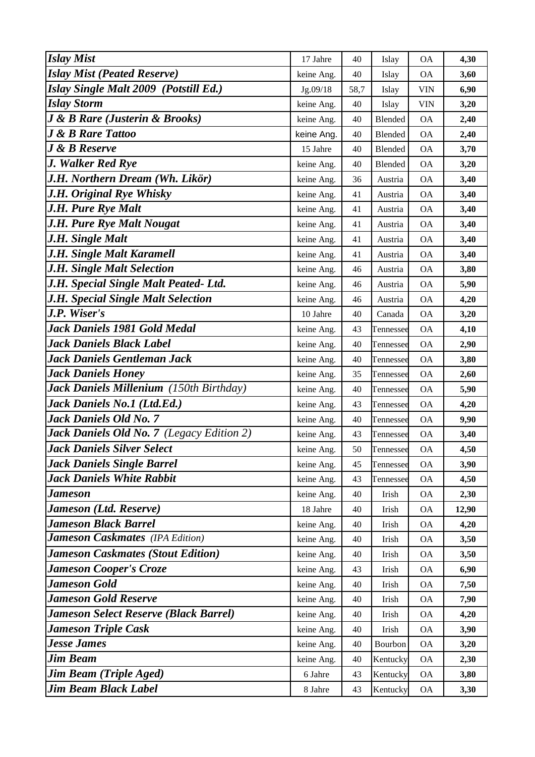| <b>Islay Mist</b>                                | 17 Jahre   | 40   | Islay     | <b>OA</b>  | 4,30  |
|--------------------------------------------------|------------|------|-----------|------------|-------|
| <b>Islay Mist (Peated Reserve)</b>               | keine Ang. | 40   | Islay     | <b>OA</b>  | 3,60  |
| Islay Single Malt 2009 (Potstill Ed.)            | Jg.09/18   | 58,7 | Islay     | <b>VIN</b> | 6,90  |
| <b>Islay Storm</b>                               | keine Ang. | 40   | Islay     | <b>VIN</b> | 3,20  |
| <b>J &amp; B Rare (Justerin &amp; Brooks)</b>    | keine Ang. | 40   | Blended   | <b>OA</b>  | 2,40  |
| <b>J &amp; B Rare Tattoo</b>                     | keine Ang. | 40   | Blended   | <b>OA</b>  | 2,40  |
| <b>J</b> & <b>B</b> Reserve                      | 15 Jahre   | 40   | Blended   | <b>OA</b>  | 3,70  |
| J. Walker Red Rye                                | keine Ang. | 40   | Blended   | <b>OA</b>  | 3,20  |
| J.H. Northern Dream (Wh. Likör)                  | keine Ang. | 36   | Austria   | <b>OA</b>  | 3,40  |
| J.H. Original Rye Whisky                         | keine Ang. | 41   | Austria   | <b>OA</b>  | 3,40  |
| <b>J.H. Pure Rye Malt</b>                        | keine Ang. | 41   | Austria   | <b>OA</b>  | 3,40  |
| <b>J.H. Pure Rye Malt Nougat</b>                 | keine Ang. | 41   | Austria   | <b>OA</b>  | 3,40  |
| J.H. Single Malt                                 | keine Ang. | 41   | Austria   | <b>OA</b>  | 3,40  |
| J.H. Single Malt Karamell                        | keine Ang. | 41   | Austria   | <b>OA</b>  | 3,40  |
| J.H. Single Malt Selection                       | keine Ang. | 46   | Austria   | <b>OA</b>  | 3,80  |
| J.H. Special Single Malt Peated- Ltd.            | keine Ang. | 46   | Austria   | <b>OA</b>  | 5,90  |
| J.H. Special Single Malt Selection               | keine Ang. | 46   | Austria   | <b>OA</b>  | 4,20  |
| J.P. Wiser's                                     | 10 Jahre   | 40   | Canada    | <b>OA</b>  | 3,20  |
| Jack Daniels 1981 Gold Medal                     | keine Ang. | 43   | Tennessee | <b>OA</b>  | 4,10  |
| <b>Jack Daniels Black Label</b>                  | keine Ang. | 40   | Tennessee | <b>OA</b>  | 2,90  |
| Jack Daniels Gentleman Jack                      | keine Ang. | 40   | Tennessee | <b>OA</b>  | 3,80  |
| <b>Jack Daniels Honey</b>                        | keine Ang. | 35   | Tennessee | <b>OA</b>  | 2,60  |
| Jack Daniels Millenium (150th Birthday)          | keine Ang. | 40   | Tennessee | <b>OA</b>  | 5,90  |
| Jack Daniels No.1 (Ltd.Ed.)                      | keine Ang. | 43   | Tennessee | <b>OA</b>  | 4,20  |
| <b>Jack Daniels Old No. 7</b>                    | keine Ang. | 40   | Tennessee | <b>OA</b>  | 9,90  |
| <b>Jack Daniels Old No. 7</b> (Legacy Edition 2) | keine Ang. | 43   | Tennessee | ΟA         | 3,40  |
| <b>Jack Daniels Silver Select</b>                | keine Ang. | 50   | Tennessee | <b>OA</b>  | 4,50  |
| <b>Jack Daniels Single Barrel</b>                | keine Ang. | 45   | Tennessee | <b>OA</b>  | 3,90  |
| <b>Jack Daniels White Rabbit</b>                 | keine Ang. | 43   | Tennessee | <b>OA</b>  | 4,50  |
| Jameson                                          | keine Ang. | 40   | Irish     | <b>OA</b>  | 2,30  |
| Jameson (Ltd. Reserve)                           | 18 Jahre   | 40   | Irish     | <b>OA</b>  | 12,90 |
| <b>Jameson Black Barrel</b>                      | keine Ang. | 40   | Irish     | <b>OA</b>  | 4,20  |
| <b>Jameson Caskmates</b> (IPA Edition)           | keine Ang. | 40   | Irish     | <b>OA</b>  | 3,50  |
| <b>Jameson Caskmates (Stout Edition)</b>         | keine Ang. | 40   | Irish     | <b>OA</b>  | 3,50  |
| <b>Jameson Cooper's Croze</b>                    | keine Ang. | 43   | Irish     | <b>OA</b>  | 6,90  |
| <b>Jameson Gold</b>                              | keine Ang. | 40   | Irish     | <b>OA</b>  | 7,50  |
| <b>Jameson Gold Reserve</b>                      | keine Ang. | 40   | Irish     | <b>OA</b>  | 7,90  |
| <b>Jameson Select Reserve (Black Barrel)</b>     | keine Ang. | 40   | Irish     | <b>OA</b>  | 4,20  |
| <b>Jameson Triple Cask</b>                       | keine Ang. | 40   | Irish     | <b>OA</b>  | 3,90  |
| <b>Jesse James</b>                               | keine Ang. | 40   | Bourbon   | <b>OA</b>  | 3,20  |
| Jim Beam                                         | keine Ang. | 40   | Kentucky  | <b>OA</b>  | 2,30  |
| <b>Jim Beam (Triple Aged)</b>                    | 6 Jahre    | 43   | Kentucky  | <b>OA</b>  | 3,80  |
| <b>Jim Beam Black Label</b>                      | 8 Jahre    | 43   | Kentucky  | <b>OA</b>  | 3,30  |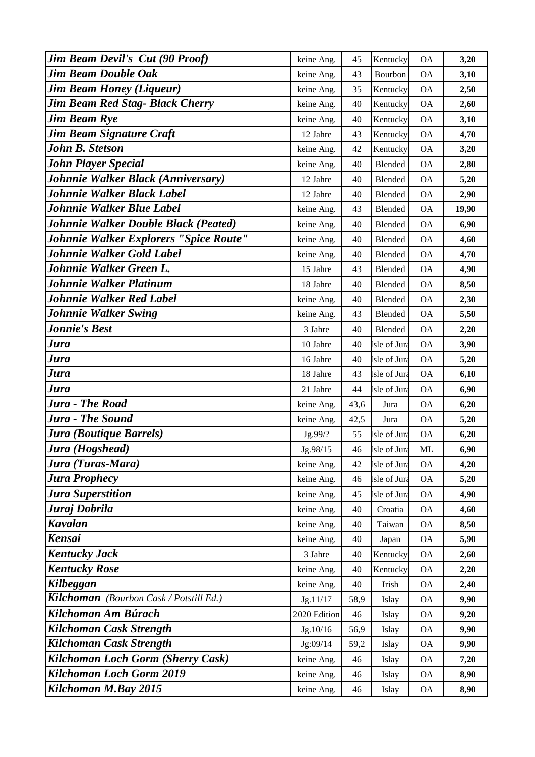| <b>Jim Beam Devil's Cut (90 Proof)</b>  | keine Ang.   | 45   | Kentucky     | <b>OA</b> | 3,20  |
|-----------------------------------------|--------------|------|--------------|-----------|-------|
| <b>Jim Beam Double Oak</b>              | keine Ang.   | 43   | Bourbon      | <b>OA</b> | 3,10  |
| <b>Jim Beam Honey (Liqueur)</b>         | keine Ang.   | 35   | Kentucky     | <b>OA</b> | 2,50  |
| <b>Jim Beam Red Stag- Black Cherry</b>  | keine Ang.   | 40   | Kentucky     | <b>OA</b> | 2,60  |
| <b>Jim Beam Rye</b>                     | keine Ang.   | 40   | Kentucky     | <b>OA</b> | 3,10  |
| Jim Beam Signature Craft                | 12 Jahre     | 43   | Kentucky     | <b>OA</b> | 4,70  |
| <b>John B. Stetson</b>                  | keine Ang.   | 42   | Kentucky     | <b>OA</b> | 3,20  |
| <b>John Player Special</b>              | keine Ang.   | 40   | Blended      | <b>OA</b> | 2,80  |
| Johnnie Walker Black (Anniversary)      | 12 Jahre     | 40   | Blended      | <b>OA</b> | 5,20  |
| Johnnie Walker Black Label              | 12 Jahre     | 40   | Blended      | <b>OA</b> | 2,90  |
| Johnnie Walker Blue Label               | keine Ang.   | 43   | Blended      | <b>OA</b> | 19,90 |
| Johnnie Walker Double Black (Peated)    | keine Ang.   | 40   | Blended      | <b>OA</b> | 6,90  |
| Johnnie Walker Explorers "Spice Route"  | keine Ang.   | 40   | Blended      | <b>OA</b> | 4,60  |
| Johnnie Walker Gold Label               | keine Ang.   | 40   | Blended      | <b>OA</b> | 4,70  |
| Johnnie Walker Green L.                 | 15 Jahre     | 43   | Blended      | <b>OA</b> | 4,90  |
| Johnnie Walker Platinum                 | 18 Jahre     | 40   | Blended      | <b>OA</b> | 8,50  |
| Johnnie Walker Red Label                | keine Ang.   | 40   | Blended      | <b>OA</b> | 2,30  |
| <b>Johnnie Walker Swing</b>             | keine Ang.   | 43   | Blended      | <b>OA</b> | 5,50  |
| <b>Jonnie's Best</b>                    | 3 Jahre      | 40   | Blended      | <b>OA</b> | 2,20  |
| Jura                                    | 10 Jahre     | 40   | sle of Jura  | <b>OA</b> | 3,90  |
| Jura                                    | 16 Jahre     | 40   | sle of Jura  | <b>OA</b> | 5,20  |
| Jura                                    | 18 Jahre     | 43   | sle of Jura  | <b>OA</b> | 6,10  |
| Jura                                    | 21 Jahre     | 44   | sle of Jura  | <b>OA</b> | 6,90  |
| <b>Jura - The Road</b>                  | keine Ang.   | 43,6 | Jura         | <b>OA</b> | 6,20  |
| <b>Jura - The Sound</b>                 | keine Ang.   | 42,5 | Jura         | <b>OA</b> | 5,20  |
| Jura (Boutique Barrels)                 | Jg.99/?      | 55   | sle of Jura  | <b>OA</b> | 6,20  |
| Jura (Hogshead)                         | Jg.98/15     | 46   | Isle of Jura | ML        | 6,90  |
| Jura (Turas-Mara)                       | keine Ang.   | 42   | sle of Jura  | <b>OA</b> | 4,20  |
| <b>Jura Prophecy</b>                    | keine Ang.   | 46   | sle of Jura  | <b>OA</b> | 5,20  |
| Jura Superstition                       | keine Ang.   | 45   | sle of Jura  | <b>OA</b> | 4,90  |
| Juraj Dobrila                           | keine Ang.   | 40   | Croatia      | <b>OA</b> | 4,60  |
| Kavalan                                 | keine Ang.   | 40   | Taiwan       | <b>OA</b> | 8,50  |
| Kensai                                  | keine Ang.   | 40   | Japan        | <b>OA</b> | 5,90  |
| <b>Kentucky Jack</b>                    | 3 Jahre      | 40   | Kentucky     | <b>OA</b> | 2,60  |
| <b>Kentucky Rose</b>                    | keine Ang.   | 40   | Kentucky     | <b>OA</b> | 2,20  |
| Kilbeggan                               | keine Ang.   | 40   | Irish        | <b>OA</b> | 2,40  |
| Kilchoman (Bourbon Cask / Potstill Ed.) | Jg.11/17     | 58,9 | Islay        | <b>OA</b> | 9,90  |
| Kilchoman Am Búrach                     | 2020 Edition | 46   | Islay        | <b>OA</b> | 9,20  |
| Kilchoman Cask Strength                 | Jg.10/16     | 56,9 | Islay        | <b>OA</b> | 9,90  |
| Kilchoman Cask Strength                 | Jg:09/14     | 59,2 | Islay        | <b>OA</b> | 9,90  |
| Kilchoman Loch Gorm (Sherry Cask)       | keine Ang.   | 46   | Islay        | <b>OA</b> | 7,20  |
| Kilchoman Loch Gorm 2019                | keine Ang.   | 46   | Islay        | <b>OA</b> | 8,90  |
| Kilchoman M.Bay 2015                    | keine Ang.   | 46   | Islay        | <b>OA</b> | 8,90  |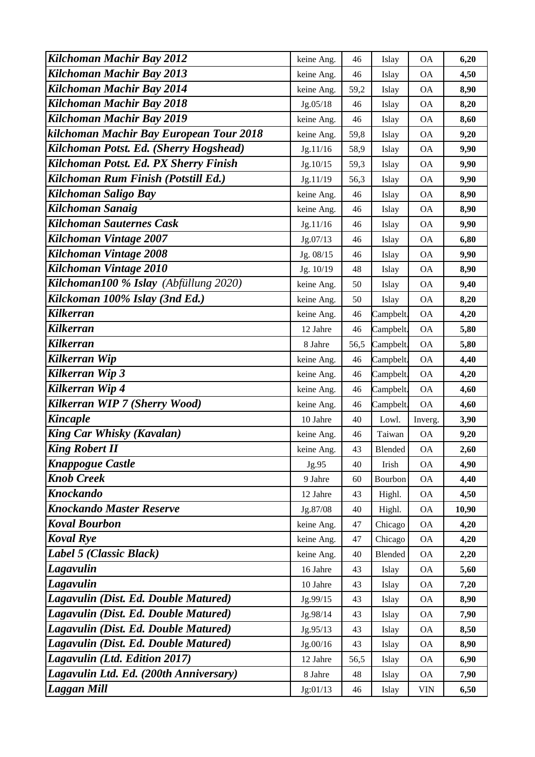| Kilchoman Machir Bay 2012               | keine Ang. | 46   | Islay     | <b>OA</b>  | 6,20  |
|-----------------------------------------|------------|------|-----------|------------|-------|
| Kilchoman Machir Bay 2013               | keine Ang. | 46   | Islay     | <b>OA</b>  | 4,50  |
| Kilchoman Machir Bay 2014               | keine Ang. | 59,2 | Islay     | <b>OA</b>  | 8,90  |
| Kilchoman Machir Bay 2018               | Jg.05/18   | 46   | Islay     | <b>OA</b>  | 8,20  |
| Kilchoman Machir Bay 2019               | keine Ang. | 46   | Islay     | <b>OA</b>  | 8,60  |
| kilchoman Machir Bay European Tour 2018 | keine Ang. | 59,8 | Islay     | <b>OA</b>  | 9,20  |
| Kilchoman Potst. Ed. (Sherry Hogshead)  | Jg.11/16   | 58,9 | Islay     | <b>OA</b>  | 9,90  |
| Kilchoman Potst. Ed. PX Sherry Finish   | Jg.10/15   | 59,3 | Islay     | <b>OA</b>  | 9,90  |
| Kilchoman Rum Finish (Potstill Ed.)     | Jg.11/19   | 56,3 | Islay     | <b>OA</b>  | 9,90  |
| Kilchoman Saligo Bay                    | keine Ang. | 46   | Islay     | <b>OA</b>  | 8,90  |
| Kilchoman Sanaig                        | keine Ang. | 46   | Islay     | <b>OA</b>  | 8,90  |
| <b>Kilchoman Sauternes Cask</b>         | Jg.11/16   | 46   | Islay     | <b>OA</b>  | 9,90  |
| Kilchoman Vintage 2007                  | Jg.07/13   | 46   | Islay     | <b>OA</b>  | 6,80  |
| Kilchoman Vintage 2008                  | Jg. 08/15  | 46   | Islay     | <b>OA</b>  | 9,90  |
| Kilchoman Vintage 2010                  | Jg. 10/19  | 48   | Islay     | <b>OA</b>  | 8,90  |
| Kilchoman100 % Islay (Abfüllung 2020)   | keine Ang. | 50   | Islay     | <b>OA</b>  | 9,40  |
| Kilckoman 100% Islay (3nd Ed.)          | keine Ang. | 50   | Islay     | <b>OA</b>  | 8,20  |
| Kilkerran                               | keine Ang. | 46   | Campbelt. | <b>OA</b>  | 4,20  |
| <b>Kilkerran</b>                        | 12 Jahre   | 46   | Campbelt. | <b>OA</b>  | 5,80  |
| Kilkerran                               | 8 Jahre    | 56,5 | Campbelt. | <b>OA</b>  | 5,80  |
| Kilkerran Wip                           | keine Ang. | 46   | Campbelt. | <b>OA</b>  | 4,40  |
| Kilkerran Wip 3                         | keine Ang. | 46   | Campbelt. | <b>OA</b>  | 4,20  |
| Kilkerran Wip 4                         | keine Ang. | 46   | Campbelt. | <b>OA</b>  | 4,60  |
| Kilkerran WIP 7 (Sherry Wood)           | keine Ang. | 46   | Campbelt. | <b>OA</b>  | 4,60  |
| <b>Kincaple</b>                         | 10 Jahre   | 40   | Lowl.     | Inverg.    | 3,90  |
| <b>King Car Whisky (Kavalan)</b>        | keine Ang. | 46   | Taiwan    | <b>OA</b>  | 9,20  |
| <b>King Robert II</b>                   | keine Ang. | 43   | Blended   | <b>OA</b>  | 2,60  |
| <b>Knappogue Castle</b>                 | Jg.95      | 40   | Irish     | <b>OA</b>  | 4,90  |
| <b>Knob Creek</b>                       | 9 Jahre    | 60   | Bourbon   | <b>OA</b>  | 4,40  |
| <b>Knockando</b>                        | 12 Jahre   | 43   | Highl.    | <b>OA</b>  | 4,50  |
| <b>Knockando Master Reserve</b>         | Jg.87/08   | 40   | Highl.    | <b>OA</b>  | 10,90 |
| <b>Koval Bourbon</b>                    | keine Ang. | 47   | Chicago   | <b>OA</b>  | 4,20  |
| <b>Koval Rye</b>                        | keine Ang. | 47   | Chicago   | <b>OA</b>  | 4,20  |
| Label 5 (Classic Black)                 | keine Ang. | 40   | Blended   | <b>OA</b>  | 2,20  |
| Lagavulin                               | 16 Jahre   | 43   | Islay     | <b>OA</b>  | 5,60  |
| Lagavulin                               | 10 Jahre   | 43   | Islay     | <b>OA</b>  | 7,20  |
| Lagavulin (Dist. Ed. Double Matured)    | Jg.99/15   | 43   | Islay     | <b>OA</b>  | 8,90  |
| Lagavulin (Dist. Ed. Double Matured)    | Jg.98/14   | 43   | Islay     | <b>OA</b>  | 7,90  |
| Lagavulin (Dist. Ed. Double Matured)    | Jg.95/13   | 43   | Islay     | <b>OA</b>  | 8,50  |
| Lagavulin (Dist. Ed. Double Matured)    | Jg.00/16   | 43   | Islay     | <b>OA</b>  | 8,90  |
| Lagavulin (Ltd. Edition 2017)           | 12 Jahre   | 56,5 | Islay     | <b>OA</b>  | 6,90  |
| Lagavulin Ltd. Ed. (200th Anniversary)  | 8 Jahre    | 48   | Islay     | <b>OA</b>  | 7,90  |
| <b>Laggan Mill</b>                      | Jg:01/13   | 46   | Islay     | <b>VIN</b> | 6,50  |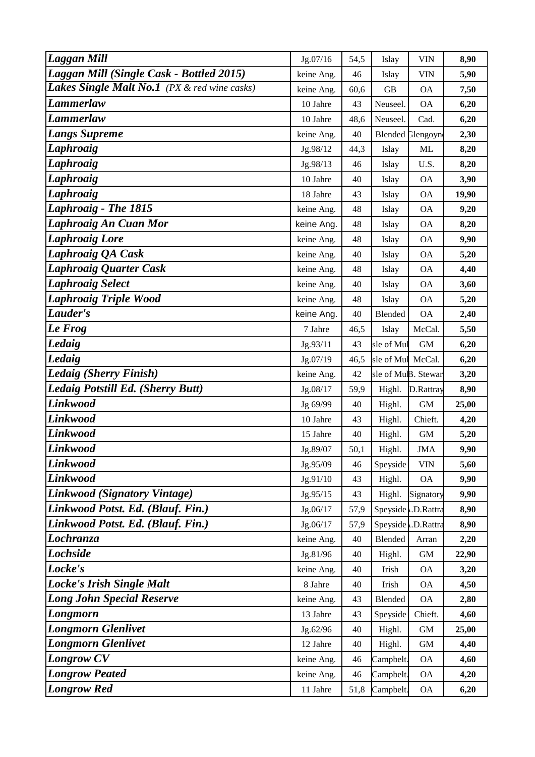| <b>Laggan Mill</b>                           | Jg.07/16   | 54,5 | Islay             | <b>VIN</b>               | 8,90  |
|----------------------------------------------|------------|------|-------------------|--------------------------|-------|
| Laggan Mill (Single Cask - Bottled 2015)     | keine Ang. | 46   | Islay             | <b>VIN</b>               | 5,90  |
| Lakes Single Malt No.1 (PX & red wine casks) | keine Ang. | 60,6 | <b>GB</b>         | <b>OA</b>                | 7,50  |
| Lammerlaw                                    | 10 Jahre   | 43   | Neuseel.          | <b>OA</b>                | 6,20  |
| Lammerlaw                                    | 10 Jahre   | 48,6 | Neuseel.          | Cad.                     | 6,20  |
| <b>Langs Supreme</b>                         | keine Ang. | 40   |                   | <b>Blended Glengoyne</b> | 2,30  |
| Laphroaig                                    | Jg.98/12   | 44,3 | Islay             | ML                       | 8,20  |
| <b>Laphroaig</b>                             | Jg.98/13   | 46   | Islay             | U.S.                     | 8,20  |
| Laphroaig                                    | 10 Jahre   | 40   | Islay             | <b>OA</b>                | 3,90  |
| <b>Laphroaig</b>                             | 18 Jahre   | 43   | Islay             | <b>OA</b>                | 19,90 |
| <b>Laphroaig - The 1815</b>                  | keine Ang. | 48   | Islay             | <b>OA</b>                | 9,20  |
| Laphroaig An Cuan Mor                        | keine Ang. | 48   | Islay             | <b>OA</b>                | 8,20  |
| <b>Laphroaig Lore</b>                        | keine Ang. | 48   | Islay             | <b>OA</b>                | 9,90  |
| <b>Laphroaig QA Cask</b>                     | keine Ang. | 40   | Islay             | <b>OA</b>                | 5,20  |
| <b>Laphroaig Quarter Cask</b>                | keine Ang. | 48   | Islay             | <b>OA</b>                | 4,40  |
| <b>Laphroaig Select</b>                      | keine Ang. | 40   | Islay             | <b>OA</b>                | 3,60  |
| <b>Laphroaig Triple Wood</b>                 | keine Ang. | 48   | Islay             | <b>OA</b>                | 5,20  |
| Lauder's                                     | keine Ang. | 40   | Blended           | <b>OA</b>                | 2,40  |
| Le Frog                                      | 7 Jahre    | 46,5 | Islay             | McCal.                   | 5,50  |
| Ledaig                                       | Jg.93/11   | 43   | sle of Mul        | <b>GM</b>                | 6,20  |
| Ledaig                                       | Jg.07/19   | 46,5 | sle of Mul McCal. |                          | 6,20  |
| Ledaig (Sherry Finish)                       | keine Ang. | 42   |                   | sle of MuB. Stewar       | 3,20  |
| Ledaig Potstill Ed. (Sherry Butt)            | Jg.08/17   | 59,9 | Highl.            | D.Rattray                | 8,90  |
| <b>Linkwood</b>                              | Jg 69/99   | 40   | Highl.            | $\mbox{GM}$              | 25,00 |
| Linkwood                                     | 10 Jahre   | 43   | Highl.            | Chieft.                  | 4,20  |
| <b>Linkwood</b>                              | 15 Jahre   | 40   | Highl.            | <b>GM</b>                | 5,20  |
| Linkwood                                     | Jg.89/07   | 50,1 | Highl.            | <b>JMA</b>               | 9,90  |
| Linkwood                                     | Jg.95/09   | 46   | Speyside          | <b>VIN</b>               | 5,60  |
| <b>Linkwood</b>                              | Jg.91/10   | 43   | Highl.            | <b>OA</b>                | 9,90  |
| Linkwood (Signatory Vintage)                 | Jg.95/15   | 43   | Highl.            | Signatory                | 9,90  |
| Linkwood Potst. Ed. (Blauf. Fin.)            | Jg.06/17   | 57,9 |                   | Speyside .D.Rattra       | 8,90  |
| Linkwood Potst. Ed. (Blauf. Fin.)            | Jg.06/17   | 57,9 |                   | Speyside .D.Rattra       | 8,90  |
| Lochranza                                    | keine Ang. | 40   | Blended           | Arran                    | 2,20  |
| <b>Lochside</b>                              | Jg.81/96   | 40   | Highl.            | $\,$ GM $\,$             | 22,90 |
| Locke's                                      | keine Ang. | 40   | Irish             | <b>OA</b>                | 3,20  |
| <b>Locke's Irish Single Malt</b>             | 8 Jahre    | 40   | Irish             | <b>OA</b>                | 4,50  |
| <b>Long John Special Reserve</b>             | keine Ang. | 43   | Blended           | <b>OA</b>                | 2,80  |
| Longmorn                                     | 13 Jahre   | 43   | Speyside          | Chieft.                  | 4,60  |
| <b>Longmorn Glenlivet</b>                    | Jg.62/96   | 40   | Highl.            | $\mbox{GM}$              | 25,00 |
| <b>Longmorn Glenlivet</b>                    | 12 Jahre   | 40   | Highl.            | $\mbox{GM}$              | 4,40  |
| <b>Longrow CV</b>                            | keine Ang. | 46   | Campbelt.         | <b>OA</b>                | 4,60  |
| <b>Longrow Peated</b>                        | keine Ang. | 46   | Campbelt.         | <b>OA</b>                | 4,20  |
| <b>Longrow Red</b>                           | 11 Jahre   | 51,8 | Campbelt.         | <b>OA</b>                | 6,20  |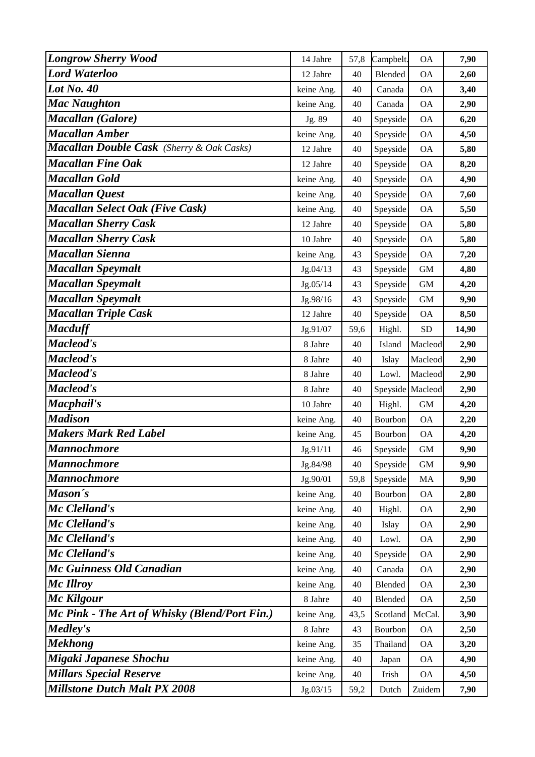| <b>Longrow Sherry Wood</b>                    | 14 Jahre   | 57,8 | Campbelt. | <b>OA</b>        | 7,90  |
|-----------------------------------------------|------------|------|-----------|------------------|-------|
| <b>Lord Waterloo</b>                          | 12 Jahre   | 40   | Blended   | <b>OA</b>        | 2,60  |
| <b>Lot No. 40</b>                             | keine Ang. | 40   | Canada    | <b>OA</b>        | 3,40  |
| <b>Mac Naughton</b>                           | keine Ang. | 40   | Canada    | <b>OA</b>        | 2,90  |
| Macallan (Galore)                             | Jg. 89     | 40   | Speyside  | <b>OA</b>        | 6,20  |
| <b>Macallan Amber</b>                         | keine Ang. | 40   | Speyside  | <b>OA</b>        | 4,50  |
| Macallan Double Cask (Sherry & Oak Casks)     | 12 Jahre   | 40   | Speyside  | <b>OA</b>        | 5,80  |
| <b>Macallan Fine Oak</b>                      | 12 Jahre   | 40   | Speyside  | <b>OA</b>        | 8,20  |
| <b>Macallan Gold</b>                          | keine Ang. | 40   | Speyside  | <b>OA</b>        | 4,90  |
| <b>Macallan Quest</b>                         | keine Ang. | 40   | Speyside  | <b>OA</b>        | 7,60  |
| <b>Macallan Select Oak (Five Cask)</b>        | keine Ang. | 40   | Speyside  | <b>OA</b>        | 5,50  |
| <b>Macallan Sherry Cask</b>                   | 12 Jahre   | 40   | Speyside  | <b>OA</b>        | 5,80  |
| <b>Macallan Sherry Cask</b>                   | 10 Jahre   | 40   | Speyside  | <b>OA</b>        | 5,80  |
| <b>Macallan Sienna</b>                        | keine Ang. | 43   | Speyside  | <b>OA</b>        | 7,20  |
| <b>Macallan Speymalt</b>                      | Jg.04/13   | 43   | Speyside  | GM               | 4,80  |
| <b>Macallan Speymalt</b>                      | Jg.05/14   | 43   | Speyside  | $\mbox{GM}$      | 4,20  |
| <b>Macallan Speymalt</b>                      | Jg.98/16   | 43   | Speyside  | <b>GM</b>        | 9,90  |
| <b>Macallan Triple Cask</b>                   | 12 Jahre   | 40   | Speyside  | <b>OA</b>        | 8,50  |
| <b>Macduff</b>                                | Jg.91/07   | 59,6 | Highl.    | <b>SD</b>        | 14,90 |
| Macleod's                                     | 8 Jahre    | 40   | Island    | Macleod          | 2,90  |
| Macleod's                                     | 8 Jahre    | 40   | Islay     | Macleod          | 2,90  |
| Macleod's                                     | 8 Jahre    | 40   | Lowl.     | Macleod          | 2,90  |
| Macleod's                                     | 8 Jahre    | 40   |           | Speyside Macleod | 2,90  |
| Macphail's                                    | 10 Jahre   | 40   | Highl.    | GM               | 4,20  |
| <b>Madison</b>                                | keine Ang. | 40   | Bourbon   | <b>OA</b>        | 2,20  |
| <b>Makers Mark Red Label</b>                  | keine Ang. | 45   | Bourbon   | <b>OA</b>        | 4,20  |
| <b>Mannochmore</b>                            | Jg.91/11   | 46   | Speyside  | <b>GM</b>        | 9,90  |
| <b>Mannochmore</b>                            | Jg.84/98   | 40   | Speyside  | $\,$ GM $\,$     | 9,90  |
| <b>Mannochmore</b>                            | Jg.90/01   | 59,8 | Speyside  | MA               | 9,90  |
| Mason's                                       | keine Ang. | 40   | Bourbon   | <b>OA</b>        | 2,80  |
| Mc Clelland's                                 | keine Ang. | 40   | Highl.    | <b>OA</b>        | 2,90  |
| Mc Clelland's                                 | keine Ang. | 40   | Islay     | <b>OA</b>        | 2,90  |
| Mc Clelland's                                 | keine Ang. | 40   | Lowl.     | <b>OA</b>        | 2,90  |
| Mc Clelland's                                 | keine Ang. | 40   | Speyside  | <b>OA</b>        | 2,90  |
| Mc Guinness Old Canadian                      | keine Ang. | 40   | Canada    | <b>OA</b>        | 2,90  |
| Mc Illroy                                     | keine Ang. | 40   | Blended   | <b>OA</b>        | 2,30  |
| Mc Kilgour                                    | 8 Jahre    | 40   | Blended   | <b>OA</b>        | 2,50  |
| Mc Pink - The Art of Whisky (Blend/Port Fin.) | keine Ang. | 43,5 | Scotland  | McCal.           | 3,90  |
| Medley's                                      | 8 Jahre    | 43   | Bourbon   | <b>OA</b>        | 2,50  |
| <b>Mekhong</b>                                | keine Ang. | 35   | Thailand  | <b>OA</b>        | 3,20  |
| Migaki Japanese Shochu                        | keine Ang. | 40   | Japan     | <b>OA</b>        | 4,90  |
| <b>Millars Special Reserve</b>                | keine Ang. | 40   | Irish     | <b>OA</b>        | 4,50  |
| <b>Millstone Dutch Malt PX 2008</b>           | Jg.03/15   | 59,2 | Dutch     | Zuidem           | 7,90  |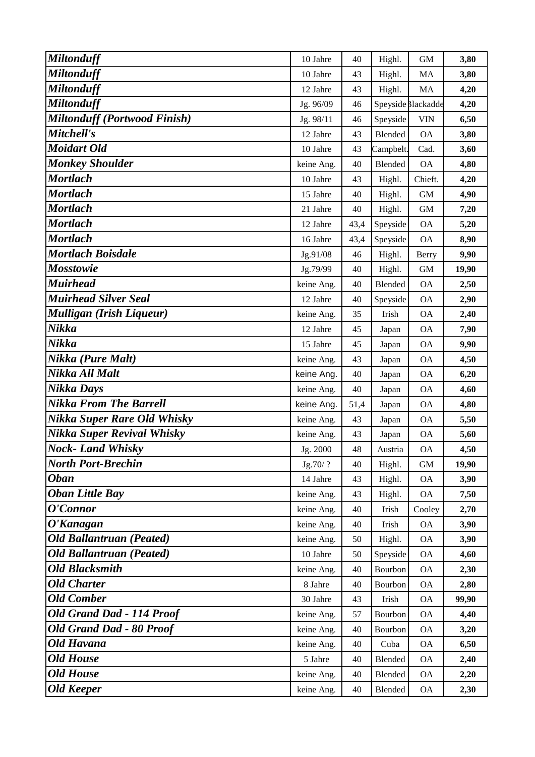| <b>Miltonduff</b>                   | 10 Jahre   | 40   | Highl.    | <b>GM</b>          | 3,80  |
|-------------------------------------|------------|------|-----------|--------------------|-------|
| <b>Miltonduff</b>                   | 10 Jahre   | 43   | Highl.    | MA                 | 3,80  |
| <b>Miltonduff</b>                   | 12 Jahre   | 43   | Highl.    | MA                 | 4,20  |
| <b>Miltonduff</b>                   | Jg. 96/09  | 46   |           | Speyside Blackadde | 4,20  |
| <b>Miltonduff (Portwood Finish)</b> | Jg. 98/11  | 46   | Speyside  | <b>VIN</b>         | 6,50  |
| Mitchell's                          | 12 Jahre   | 43   | Blended   | <b>OA</b>          | 3,80  |
| <b>Moidart Old</b>                  | 10 Jahre   | 43   | Campbelt. | Cad.               | 3,60  |
| <b>Monkey Shoulder</b>              | keine Ang. | 40   | Blended   | <b>OA</b>          | 4,80  |
| <b>Mortlach</b>                     | 10 Jahre   | 43   | Highl.    | Chieft.            | 4,20  |
| <b>Mortlach</b>                     | 15 Jahre   | 40   | Highl.    | <b>GM</b>          | 4,90  |
| <b>Mortlach</b>                     | 21 Jahre   | 40   | Highl.    | $\mbox{GM}$        | 7,20  |
| <b>Mortlach</b>                     | 12 Jahre   | 43,4 | Speyside  | <b>OA</b>          | 5,20  |
| <b>Mortlach</b>                     | 16 Jahre   | 43,4 | Speyside  | <b>OA</b>          | 8,90  |
| <b>Mortlach Boisdale</b>            | Jg.91/08   | 46   | Highl.    | Berry              | 9,90  |
| <b>Mosstowie</b>                    | Jg.79/99   | 40   | Highl.    | <b>GM</b>          | 19,90 |
| <b>Muirhead</b>                     | keine Ang. | 40   | Blended   | <b>OA</b>          | 2,50  |
| <b>Muirhead Silver Seal</b>         | 12 Jahre   | 40   | Speyside  | <b>OA</b>          | 2,90  |
| Mulligan (Irish Liqueur)            | keine Ang. | 35   | Irish     | <b>OA</b>          | 2,40  |
| Nikka                               | 12 Jahre   | 45   | Japan     | <b>OA</b>          | 7,90  |
| Nikka                               | 15 Jahre   | 45   | Japan     | <b>OA</b>          | 9,90  |
| Nikka (Pure Malt)                   | keine Ang. | 43   | Japan     | <b>OA</b>          | 4,50  |
| Nikka All Malt                      | keine Ang. | 40   | Japan     | <b>OA</b>          | 6,20  |
| Nikka Days                          | keine Ang. | 40   | Japan     | <b>OA</b>          | 4,60  |
| <b>Nikka From The Barrell</b>       | keine Ang. | 51,4 | Japan     | <b>OA</b>          | 4,80  |
| Nikka Super Rare Old Whisky         | keine Ang. | 43   | Japan     | <b>OA</b>          | 5,50  |
| Nikka Super Revival Whisky          | keine Ang. | 43   | Japan     | <b>OA</b>          | 5,60  |
| <b>Nock-Land Whisky</b>             | Jg. 2000   | 48   | Austria   | <b>OA</b>          | 4,50  |
| <b>North Port-Brechin</b>           | Jg.70/?    | 40   | Highl.    | <b>GM</b>          | 19,90 |
| <b>Oban</b>                         | 14 Jahre   | 43   | Highl.    | <b>OA</b>          | 3,90  |
| <b>Oban Little Bay</b>              | keine Ang. | 43   | Highl.    | <b>OA</b>          | 7,50  |
| O'Connor                            | keine Ang. | 40   | Irish     | Cooley             | 2,70  |
| O'Kanagan                           | keine Ang. | 40   | Irish     | <b>OA</b>          | 3,90  |
| <b>Old Ballantruan (Peated)</b>     | keine Ang. | 50   | Highl.    | <b>OA</b>          | 3,90  |
| <b>Old Ballantruan (Peated)</b>     | 10 Jahre   | 50   | Speyside  | <b>OA</b>          | 4,60  |
| <b>Old Blacksmith</b>               | keine Ang. | 40   | Bourbon   | <b>OA</b>          | 2,30  |
| <b>Old Charter</b>                  | 8 Jahre    | 40   | Bourbon   | <b>OA</b>          | 2,80  |
| <b>Old Comber</b>                   | 30 Jahre   | 43   | Irish     | <b>OA</b>          | 99,90 |
| <b>Old Grand Dad - 114 Proof</b>    | keine Ang. | 57   | Bourbon   | <b>OA</b>          | 4,40  |
| <b>Old Grand Dad - 80 Proof</b>     | keine Ang. | 40   | Bourbon   | <b>OA</b>          | 3,20  |
| <b>Old Havana</b>                   | keine Ang. | 40   | Cuba      | <b>OA</b>          | 6,50  |
| <b>Old House</b>                    | 5 Jahre    | 40   | Blended   | <b>OA</b>          | 2,40  |
| <b>Old House</b>                    | keine Ang. | 40   | Blended   | <b>OA</b>          | 2,20  |
| <b>Old Keeper</b>                   | keine Ang. | 40   | Blended   | <b>OA</b>          | 2,30  |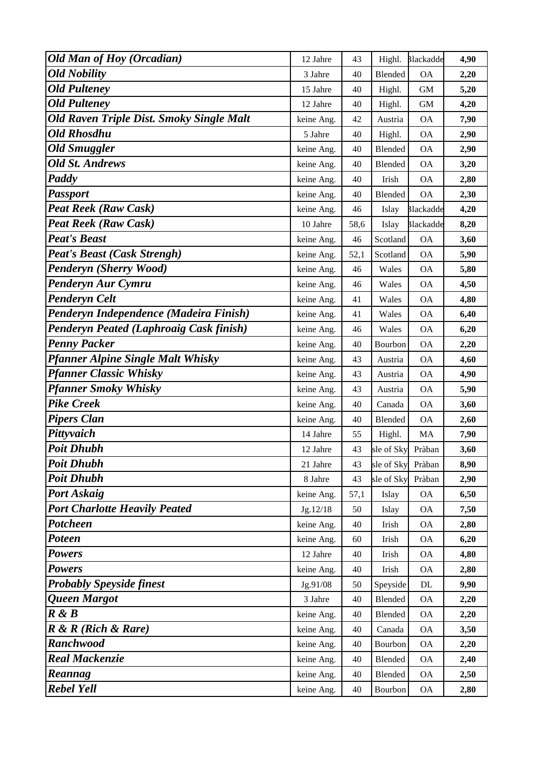| <b>Old Man of Hoy (Orcadian)</b>                | 12 Jahre   | 43   | Highl.            | <b>Blackadde</b> | 4,90 |
|-------------------------------------------------|------------|------|-------------------|------------------|------|
| <b>Old Nobility</b>                             | 3 Jahre    | 40   | Blended           | <b>OA</b>        | 2,20 |
| <b>Old Pulteney</b>                             | 15 Jahre   | 40   | Highl.            | <b>GM</b>        | 5,20 |
| <b>Old Pulteney</b>                             | 12 Jahre   | 40   | Highl.            | <b>GM</b>        | 4,20 |
| <b>Old Raven Triple Dist. Smoky Single Malt</b> | keine Ang. | 42   | Austria           | <b>OA</b>        | 7,90 |
| <b>Old Rhosdhu</b>                              | 5 Jahre    | 40   | Highl.            | <b>OA</b>        | 2,90 |
| <b>Old Smuggler</b>                             | keine Ang. | 40   | Blended           | <b>OA</b>        | 2,90 |
| <b>Old St. Andrews</b>                          | keine Ang. | 40   | Blended           | <b>OA</b>        | 3,20 |
| Paddy                                           | keine Ang. | 40   | Irish             | <b>OA</b>        | 2,80 |
| <b>Passport</b>                                 | keine Ang. | 40   | Blended           | <b>OA</b>        | 2,30 |
| <b>Peat Reek (Raw Cask)</b>                     | keine Ang. | 46   | Islay             | <b>Blackadde</b> | 4,20 |
| <b>Peat Reek (Raw Cask)</b>                     | 10 Jahre   | 58,6 | Islay             | <b>Blackadde</b> | 8,20 |
| <b>Peat's Beast</b>                             | keine Ang. | 46   | Scotland          | <b>OA</b>        | 3,60 |
| <b>Peat's Beast (Cask Strengh)</b>              | keine Ang. | 52,1 | Scotland          | <b>OA</b>        | 5,90 |
| Penderyn (Sherry Wood)                          | keine Ang. | 46   | Wales             | <b>OA</b>        | 5,80 |
| Penderyn Aur Cymru                              | keine Ang. | 46   | Wales             | <b>OA</b>        | 4,50 |
| <b>Penderyn Celt</b>                            | keine Ang. | 41   | Wales             | <b>OA</b>        | 4,80 |
| Penderyn Independence (Madeira Finish)          | keine Ang. | 41   | Wales             | <b>OA</b>        | 6,40 |
| <b>Penderyn Peated (Laphroaig Cask finish)</b>  | keine Ang. | 46   | Wales             | <b>OA</b>        | 6,20 |
| <b>Penny Packer</b>                             | keine Ang. | 40   | Bourbon           | <b>OA</b>        | 2,20 |
| <b>Pfanner Alpine Single Malt Whisky</b>        | keine Ang. | 43   | Austria           | <b>OA</b>        | 4,60 |
| <b>Pfanner Classic Whisky</b>                   | keine Ang. | 43   | Austria           | <b>OA</b>        | 4,90 |
| <b>Pfanner Smoky Whisky</b>                     | keine Ang. | 43   | Austria           | <b>OA</b>        | 5,90 |
| <b>Pike Creek</b>                               | keine Ang. | 40   | Canada            | <b>OA</b>        | 3,60 |
| <b>Pipers Clan</b>                              | keine Ang. | 40   | Blended           | <b>OA</b>        | 2,60 |
| Pittyvaich                                      | 14 Jahre   | 55   | Highl.            | MA               | 7,90 |
| <b>Poit Dhubh</b>                               | 12 Jahre   | 43   | sle of Sky Pràban |                  | 3,60 |
| <b>Poit Dhubh</b>                               | 21 Jahre   | 43   | sle of Sky        | Pràban           | 8,90 |
| <b>Poit Dhubh</b>                               | 8 Jahre    | 43   | sle of Sky        | Pràban           | 2,90 |
| Port Askaig                                     | keine Ang. | 57,1 | Islay             | <b>OA</b>        | 6,50 |
| <b>Port Charlotte Heavily Peated</b>            | Jg.12/18   | 50   | Islay             | <b>OA</b>        | 7,50 |
| Potcheen                                        | keine Ang. | 40   | Irish             | <b>OA</b>        | 2,80 |
| Poteen                                          | keine Ang. | 60   | Irish             | <b>OA</b>        | 6,20 |
| <b>Powers</b>                                   | 12 Jahre   | 40   | Irish             | <b>OA</b>        | 4,80 |
| <b>Powers</b>                                   | keine Ang. | 40   | Irish             | <b>OA</b>        | 2,80 |
| <b>Probably Speyside finest</b>                 | Jg.91/08   | 50   | Speyside          | DL               | 9,90 |
| Queen Margot                                    | 3 Jahre    | 40   | Blended           | <b>OA</b>        | 2,20 |
| R & B                                           | keine Ang. | 40   | Blended           | <b>OA</b>        | 2,20 |
| $R \& R$ (Rich $\&$ Rare)                       | keine Ang. | 40   | Canada            | <b>OA</b>        | 3,50 |
| <b>Ranchwood</b>                                | keine Ang. | 40   | Bourbon           | <b>OA</b>        | 2,20 |
| <b>Real Mackenzie</b>                           | keine Ang. | 40   | Blended           | <b>OA</b>        | 2,40 |
| Reannag                                         | keine Ang. | 40   | Blended           | <b>OA</b>        | 2,50 |
| Rebel Yell                                      | keine Ang. | 40   | Bourbon           | <b>OA</b>        | 2,80 |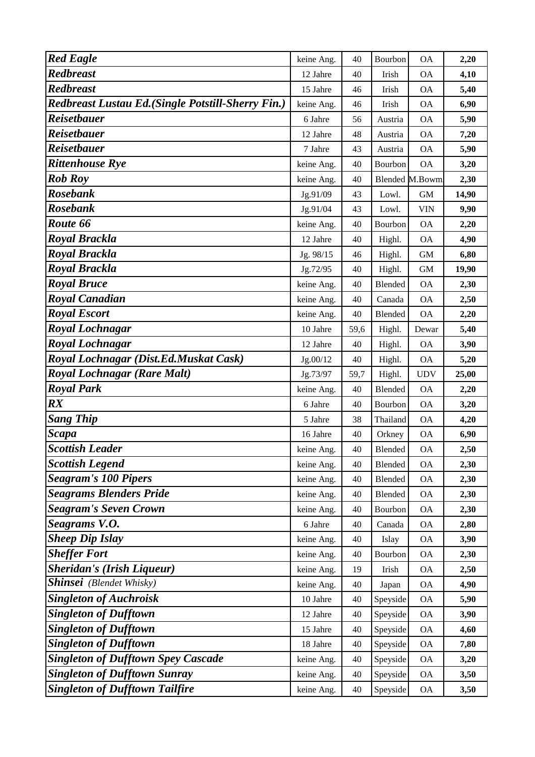| <b>Red Eagle</b>                                   | keine Ang. | 40   | Bourbon        | <b>OA</b>                | 2,20  |
|----------------------------------------------------|------------|------|----------------|--------------------------|-------|
| <b>Redbreast</b>                                   | 12 Jahre   | 40   | Irish          | <b>OA</b>                | 4,10  |
| <b>Redbreast</b>                                   | 15 Jahre   | 46   | Irish          | <b>OA</b>                | 5,40  |
| Redbreast Lustau Ed. (Single Potstill-Sherry Fin.) | keine Ang. | 46   | Irish          | <b>OA</b>                | 6,90  |
| <b>Reisetbauer</b>                                 | 6 Jahre    | 56   | Austria        | <b>OA</b>                | 5,90  |
| <b>Reisetbauer</b>                                 | 12 Jahre   | 48   | Austria        | <b>OA</b>                | 7,20  |
| <b>Reisetbauer</b>                                 | 7 Jahre    | 43   | Austria        | <b>OA</b>                | 5,90  |
| <b>Rittenhouse Rye</b>                             | keine Ang. | 40   | Bourbon        | <b>OA</b>                | 3,20  |
| <b>Rob Roy</b>                                     | keine Ang. | 40   |                | <b>Blended M.Bowm</b>    | 2,30  |
| <b>Rosebank</b>                                    | Jg.91/09   | 43   | Lowl.          | <b>GM</b>                | 14,90 |
| <b>Rosebank</b>                                    | Jg.91/04   | 43   | Lowl.          | <b>VIN</b>               | 9,90  |
| Route 66                                           | keine Ang. | 40   | Bourbon        | <b>OA</b>                | 2,20  |
| <b>Royal Brackla</b>                               | 12 Jahre   | 40   | Highl.         | <b>OA</b>                | 4,90  |
| Royal Brackla                                      | Jg. 98/15  | 46   | Highl.         | <b>GM</b>                | 6,80  |
| <b>Royal Brackla</b>                               | Jg.72/95   | 40   | Highl.         | <b>GM</b>                | 19,90 |
| <b>Royal Bruce</b>                                 | keine Ang. | 40   | Blended        | <b>OA</b>                | 2,30  |
| <b>Royal Canadian</b>                              | keine Ang. | 40   | Canada         | <b>OA</b>                | 2,50  |
| <b>Royal Escort</b>                                | keine Ang. | 40   | Blended        | <b>OA</b>                | 2,20  |
| <b>Royal Lochnagar</b>                             | 10 Jahre   | 59,6 | Highl.         | Dewar                    | 5,40  |
| Royal Lochnagar                                    | 12 Jahre   | 40   | Highl.         | <b>OA</b>                | 3,90  |
| Royal Lochnagar (Dist.Ed.Muskat Cask)              | Jg.00/12   | 40   | Highl.         | <b>OA</b>                | 5,20  |
| <b>Royal Lochnagar (Rare Malt)</b>                 | Jg.73/97   | 59,7 | Highl.         | <b>UDV</b>               | 25,00 |
| <b>Royal Park</b>                                  | keine Ang. | 40   | Blended        | <b>OA</b>                | 2,20  |
| $\mathbb{R}X$                                      | 6 Jahre    | 40   | Bourbon        | <b>OA</b>                | 3,20  |
| <b>Sang Thip</b>                                   | 5 Jahre    | 38   | Thailand       | <b>OA</b>                | 4,20  |
| <b>Scapa</b>                                       | 16 Jahre   | 40   | Orkney         | <b>OA</b>                | 6,90  |
| <b>Scottish Leader</b>                             | keine Ang. | 40   | <b>Blended</b> | <b>OA</b>                | 2,50  |
| <b>Scottish Legend</b>                             | keine Ang. | 40   | Blended        | <b>OA</b>                | 2,30  |
| <b>Seagram's 100 Pipers</b>                        | keine Ang. | 40   | Blended        | <b>OA</b>                | 2,30  |
| <b>Seagrams Blenders Pride</b>                     | keine Ang. | 40   | Blended        | <b>OA</b>                | 2,30  |
| <b>Seagram's Seven Crown</b>                       | keine Ang. | 40   | Bourbon        | <b>OA</b>                | 2,30  |
| Seagrams V.O.                                      | 6 Jahre    | 40   | Canada         | <b>OA</b>                | 2,80  |
| <b>Sheep Dip Islay</b>                             | keine Ang. | 40   | Islay          | <b>OA</b>                | 3,90  |
| <b>Sheffer Fort</b>                                | keine Ang. | 40   | Bourbon        | <b>OA</b>                | 2,30  |
| <b>Sheridan's (Irish Liqueur)</b>                  | keine Ang. | 19   | Irish          | <b>OA</b>                | 2,50  |
| <b>Shinsei</b> (Blendet Whisky)                    | keine Ang. | 40   | Japan          | <b>OA</b>                | 4,90  |
| <b>Singleton of Auchroisk</b>                      | 10 Jahre   | 40   | Speyside       | <b>OA</b>                | 5,90  |
| <b>Singleton of Dufftown</b>                       | 12 Jahre   | 40   | Speyside       | <b>OA</b>                | 3,90  |
| <b>Singleton of Dufftown</b>                       | 15 Jahre   | 40   | Speyside       | <b>OA</b>                | 4,60  |
| <b>Singleton of Dufftown</b>                       | 18 Jahre   | 40   | Speyside       | <b>OA</b>                | 7,80  |
| <b>Singleton of Dufftown Spey Cascade</b>          | keine Ang. | 40   | Speyside       | <b>OA</b>                | 3,20  |
| <b>Singleton of Dufftown Sunray</b>                | keine Ang. | 40   | Speyside       | <b>OA</b>                | 3,50  |
| <b>Singleton of Dufftown Tailfire</b>              | keine Ang. | 40   | Speyside       | $\mathcal{O}\mathcal{A}$ | 3,50  |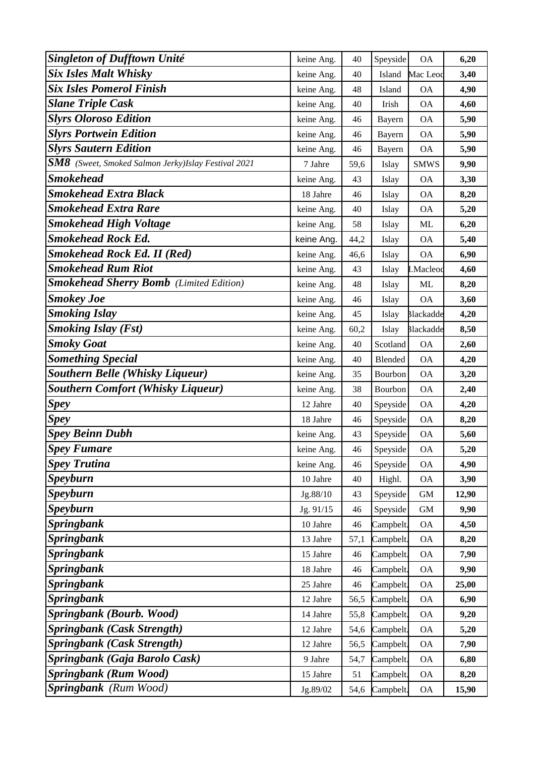| <b>Singleton of Dufftown Unité</b>                                                 | keine Ang. | 40   | Speyside  | <b>OA</b>        | 6,20  |
|------------------------------------------------------------------------------------|------------|------|-----------|------------------|-------|
| <b>Six Isles Malt Whisky</b>                                                       | keine Ang. | 40   | Island    | Mac Leod         | 3,40  |
| <b>Six Isles Pomerol Finish</b>                                                    | keine Ang. | 48   | Island    | <b>OA</b>        | 4,90  |
| <b>Slane Triple Cask</b>                                                           | keine Ang. | 40   | Irish     | <b>OA</b>        | 4,60  |
| <b>Slyrs Oloroso Edition</b>                                                       | keine Ang. | 46   | Bayern    | <b>OA</b>        | 5,90  |
| <b>Slyrs Portwein Edition</b>                                                      | keine Ang. | 46   | Bayern    | <b>OA</b>        | 5,90  |
| <b>Slyrs Sautern Edition</b>                                                       | keine Ang. | 46   | Bayern    | <b>OA</b>        | 5,90  |
| $\mathbf{S} \mathbf{M} \mathbf{8}$ (Sweet, Smoked Salmon Jerky)Islay Festival 2021 | 7 Jahre    | 59,6 | Islay     | <b>SMWS</b>      | 9,90  |
| <b>Smokehead</b>                                                                   | keine Ang. | 43   | Islay     | <b>OA</b>        | 3,30  |
| <b>Smokehead Extra Black</b>                                                       | 18 Jahre   | 46   | Islay     | <b>OA</b>        | 8,20  |
| <b>Smokehead Extra Rare</b>                                                        | keine Ang. | 40   | Islay     | <b>OA</b>        | 5,20  |
| <b>Smokehead High Voltage</b>                                                      | keine Ang. | 58   | Islay     | <b>ML</b>        | 6,20  |
| <b>Smokehead Rock Ed.</b>                                                          | keine Ang. | 44,2 | Islay     | <b>OA</b>        | 5,40  |
| <b>Smokehead Rock Ed. II (Red)</b>                                                 | keine Ang. | 46,6 | Islay     | <b>OA</b>        | 6,90  |
| <b>Smokehead Rum Riot</b>                                                          | keine Ang. | 43   | Islay     | I.Macleod        | 4,60  |
| <b>Smokehead Sherry Bomb</b> (Limited Edition)                                     | keine Ang. | 48   | Islay     | ML               | 8,20  |
| <b>Smokey Joe</b>                                                                  | keine Ang. | 46   | Islay     | <b>OA</b>        | 3,60  |
| <b>Smoking Islay</b>                                                               | keine Ang. | 45   | Islay     | <b>Blackadde</b> | 4,20  |
| <b>Smoking Islay (Fst)</b>                                                         | keine Ang. | 60,2 | Islay     | <b>Blackadde</b> | 8,50  |
| <b>Smoky Goat</b>                                                                  | keine Ang. | 40   | Scotland  | <b>OA</b>        | 2,60  |
| <b>Something Special</b>                                                           | keine Ang. | 40   | Blended   | <b>OA</b>        | 4,20  |
| <b>Southern Belle (Whisky Liqueur)</b>                                             | keine Ang. | 35   | Bourbon   | <b>OA</b>        | 3,20  |
| <b>Southern Comfort (Whisky Liqueur)</b>                                           | keine Ang. | 38   | Bourbon   | <b>OA</b>        | 2,40  |
| <b>Spey</b>                                                                        | 12 Jahre   | 40   | Speyside  | <b>OA</b>        | 4,20  |
| <b>Spey</b>                                                                        | 18 Jahre   | 46   | Speyside  | <b>OA</b>        | 8,20  |
| <b>Spey Beinn Dubh</b>                                                             | keine Ang. | 43   | Speyside  | <b>OA</b>        | 5,60  |
| <b>Spey Fumare</b>                                                                 | keine Ang. | 46   | Speyside  | <b>OA</b>        | 5,20  |
| <b>Spey Trutina</b>                                                                | keine Ang. | 46   | Speyside  | <b>OA</b>        | 4,90  |
| <b>Speyburn</b>                                                                    | 10 Jahre   | 40   | Highl.    | <b>OA</b>        | 3,90  |
| <b>Speyburn</b>                                                                    | Jg.88/10   | 43   | Speyside  | $\mbox{GM}$      | 12,90 |
| <b>Speyburn</b>                                                                    | Jg. 91/15  | 46   | Speyside  | $\,$ GM $\,$     | 9,90  |
| <b>Springbank</b>                                                                  | 10 Jahre   | 46   | Campbelt. | <b>OA</b>        | 4,50  |
| <b>Springbank</b>                                                                  | 13 Jahre   | 57,1 | Campbelt. | <b>OA</b>        | 8,20  |
| <b>Springbank</b>                                                                  | 15 Jahre   | 46   | Campbelt. | <b>OA</b>        | 7,90  |
| <b>Springbank</b>                                                                  | 18 Jahre   | 46   | Campbelt. | <b>OA</b>        | 9,90  |
| <b>Springbank</b>                                                                  | 25 Jahre   | 46   | Campbelt. | <b>OA</b>        | 25,00 |
| <b>Springbank</b>                                                                  | 12 Jahre   | 56,5 | Campbelt. | <b>OA</b>        | 6,90  |
| <b>Springbank (Bourb. Wood)</b>                                                    | 14 Jahre   | 55,8 | Campbelt. | <b>OA</b>        | 9,20  |
| <b>Springbank (Cask Strength)</b>                                                  | 12 Jahre   | 54,6 | Campbelt. | <b>OA</b>        | 5,20  |
| <b>Springbank (Cask Strength)</b>                                                  | 12 Jahre   | 56,5 | Campbelt. | <b>OA</b>        | 7,90  |
| Springbank (Gaja Barolo Cask)                                                      | 9 Jahre    | 54,7 | Campbelt. | <b>OA</b>        | 6,80  |
| Springbank (Rum Wood)                                                              | 15 Jahre   | 51   | Campbelt. | <b>OA</b>        | 8,20  |
| Springbank (Rum Wood)                                                              | Jg.89/02   | 54,6 | Campbelt. | <b>OA</b>        | 15,90 |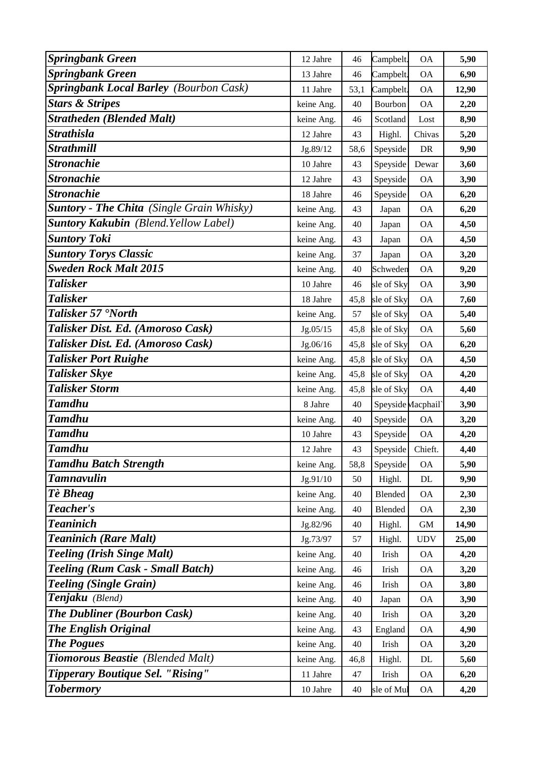| <b>Springbank Green</b>                          | 12 Jahre   | 46   | Campbelt.          | <b>OA</b>   | 5,90  |
|--------------------------------------------------|------------|------|--------------------|-------------|-------|
| <b>Springbank Green</b>                          | 13 Jahre   | 46   | Campbelt.          | <b>OA</b>   | 6,90  |
| <b>Springbank Local Barley (Bourbon Cask)</b>    | 11 Jahre   | 53,1 | Campbelt.          | <b>OA</b>   | 12,90 |
| <b>Stars &amp; Stripes</b>                       | keine Ang. | 40   | Bourbon            | <b>OA</b>   | 2,20  |
| <b>Stratheden (Blended Malt)</b>                 | keine Ang. | 46   | Scotland           | Lost        | 8,90  |
| <b>Strathisla</b>                                | 12 Jahre   | 43   | Highl.             | Chivas      | 5,20  |
| <b>Strathmill</b>                                | Jg.89/12   | 58,6 | Speyside           | DR          | 9,90  |
| <b>Stronachie</b>                                | 10 Jahre   | 43   | Speyside           | Dewar       | 3,60  |
| <b>Stronachie</b>                                | 12 Jahre   | 43   | Speyside           | <b>OA</b>   | 3,90  |
| <b>Stronachie</b>                                | 18 Jahre   | 46   | Speyside           | <b>OA</b>   | 6,20  |
| <b>Suntory - The Chita</b> (Single Grain Whisky) | keine Ang. | 43   | Japan              | <b>OA</b>   | 6,20  |
| <b>Suntory Kakubin</b> (Blend. Yellow Label)     | keine Ang. | 40   | Japan              | <b>OA</b>   | 4,50  |
| <b>Suntory Toki</b>                              | keine Ang. | 43   | Japan              | <b>OA</b>   | 4,50  |
| <b>Suntory Torys Classic</b>                     | keine Ang. | 37   | Japan              | <b>OA</b>   | 3,20  |
| <b>Sweden Rock Malt 2015</b>                     | keine Ang. | 40   | Schweden           | <b>OA</b>   | 9,20  |
| <b>Talisker</b>                                  | 10 Jahre   | 46   | sle of Sky         | <b>OA</b>   | 3,90  |
| <b>Talisker</b>                                  | 18 Jahre   | 45,8 | sle of Sky         | <b>OA</b>   | 7,60  |
| Talisker 57 'North                               | keine Ang. | 57   | sle of Sky         | <b>OA</b>   | 5,40  |
| Talisker Dist. Ed. (Amoroso Cask)                | Jg.05/15   | 45,8 | sle of Sky         | <b>OA</b>   | 5,60  |
| Talisker Dist. Ed. (Amoroso Cask)                | Jg.06/16   | 45,8 | sle of Sky         | <b>OA</b>   | 6,20  |
| <b>Talisker Port Ruighe</b>                      | keine Ang. | 45,8 | sle of Sky         | <b>OA</b>   | 4,50  |
| <b>Talisker Skye</b>                             | keine Ang. | 45,8 | sle of Sky         | <b>OA</b>   | 4,20  |
| <b>Talisker Storm</b>                            | keine Ang. | 45,8 | sle of Sky         | <b>OA</b>   | 4,40  |
| <b>Tamdhu</b>                                    | 8 Jahre    | 40   | Speyside Macphail' |             | 3,90  |
| <b>Tamdhu</b>                                    | keine Ang. | 40   | Speyside           | <b>OA</b>   | 3,20  |
| <b>Tamdhu</b>                                    | 10 Jahre   | 43   | Speyside           | <b>OA</b>   | 4,20  |
| <b>Tamdhu</b>                                    | 12 Jahre   | 43   | Speyside           | Chieft.     | 4,40  |
| <b>Tamdhu Batch Strength</b>                     | keine Ang. | 58,8 | Speyside           | <b>OA</b>   | 5,90  |
| <b>Tamnavulin</b>                                | Jg.91/10   | 50   | Highl.             | $\rm DL$    | 9,90  |
| Tè Bheag                                         | keine Ang. | 40   | Blended            | <b>OA</b>   | 2,30  |
| Teacher's                                        | keine Ang. | 40   | Blended            | <b>OA</b>   | 2,30  |
| <b>Teaninich</b>                                 | Jg.82/96   | 40   | Highl.             | $\mbox{GM}$ | 14,90 |
| <b>Teaninich (Rare Malt)</b>                     | Jg.73/97   | 57   | Highl.             | <b>UDV</b>  | 25,00 |
| <b>Teeling (Irish Singe Malt)</b>                | keine Ang. | 40   | Irish              | <b>OA</b>   | 4,20  |
| <b>Teeling (Rum Cask - Small Batch)</b>          | keine Ang. | 46   | Irish              | OA          | 3,20  |
| <b>Teeling (Single Grain)</b>                    | keine Ang. | 46   | Irish              | <b>OA</b>   | 3,80  |
| Tenjaku (Blend)                                  | keine Ang. | 40   | Japan              | <b>OA</b>   | 3,90  |
| <b>The Dubliner (Bourbon Cask)</b>               | keine Ang. | 40   | Irish              | <b>OA</b>   | 3,20  |
| <b>The English Original</b>                      | keine Ang. | 43   | England            | ΟA          | 4,90  |
| <b>The Pogues</b>                                | keine Ang. | 40   | Irish              | <b>OA</b>   | 3,20  |
| Tiomorous Beastie (Blended Malt)                 | keine Ang. | 46,8 | Highl.             | DL          | 5,60  |
| Tipperary Boutique Sel. "Rising"                 | 11 Jahre   | 47   | Irish              | <b>OA</b>   | 6,20  |
| <b>Tobermory</b>                                 | 10 Jahre   | 40   | sle of Mul         | <b>OA</b>   | 4,20  |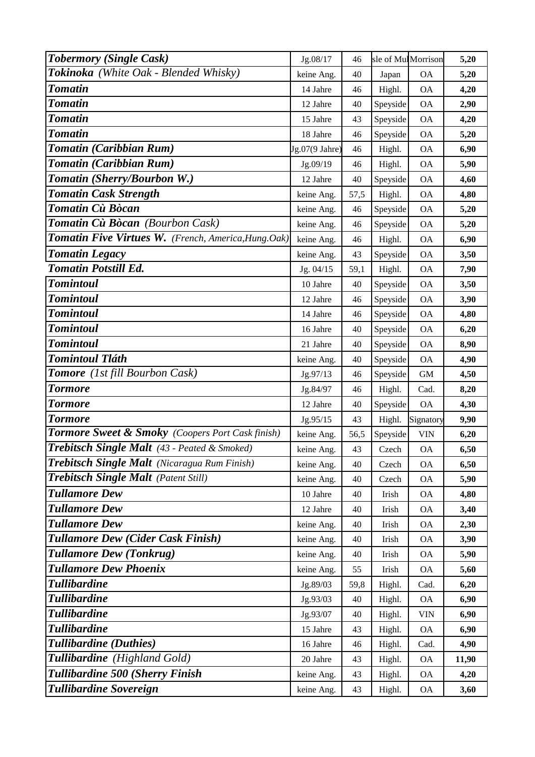| <b>Tobermory (Single Cask)</b>                      | Jg.08/17       | 46   | sle of MulMorrison |            | 5,20  |
|-----------------------------------------------------|----------------|------|--------------------|------------|-------|
| Tokinoka (White Oak - Blended Whisky)               | keine Ang.     | 40   | Japan              | <b>OA</b>  | 5,20  |
| <b>Tomatin</b>                                      | 14 Jahre       | 46   | Highl.             | <b>OA</b>  | 4,20  |
| Tomatin                                             | 12 Jahre       | 40   | Speyside           | <b>OA</b>  | 2,90  |
| <b>Tomatin</b>                                      | 15 Jahre       | 43   | Speyside           | <b>OA</b>  | 4,20  |
| Tomatin                                             | 18 Jahre       | 46   | Speyside           | <b>OA</b>  | 5,20  |
| Tomatin (Caribbian Rum)                             | Jg.07(9 Jahre) | 46   | Highl.             | <b>OA</b>  | 6,90  |
| Tomatin (Caribbian Rum)                             | Jg.09/19       | 46   | Highl.             | <b>OA</b>  | 5,90  |
| Tomatin (Sherry/Bourbon W.)                         | 12 Jahre       | 40   | Speyside           | <b>OA</b>  | 4,60  |
| <b>Tomatin Cask Strength</b>                        | keine Ang.     | 57,5 | Highl.             | <b>OA</b>  | 4,80  |
| Tomatin Cù Bòcan                                    | keine Ang.     | 46   | Speyside           | <b>OA</b>  | 5,20  |
| <b>Tomatin Cù Bòcan</b> (Bourbon Cask)              | keine Ang.     | 46   | Speyside           | <b>OA</b>  | 5,20  |
| Tomatin Five Virtues W. (French, America, Hung.Oak) | keine Ang.     | 46   | Highl.             | <b>OA</b>  | 6,90  |
| <b>Tomatin Legacy</b>                               | keine Ang.     | 43   | Speyside           | <b>OA</b>  | 3,50  |
| <b>Tomatin Potstill Ed.</b>                         | Jg. 04/15      | 59,1 | Highl.             | <b>OA</b>  | 7,90  |
| <b>Tomintoul</b>                                    | 10 Jahre       | 40   | Speyside           | <b>OA</b>  | 3,50  |
| <b>Tomintoul</b>                                    | 12 Jahre       | 46   | Speyside           | <b>OA</b>  | 3,90  |
| <b>Tomintoul</b>                                    | 14 Jahre       | 46   | Speyside           | <b>OA</b>  | 4,80  |
| <b>Tomintoul</b>                                    | 16 Jahre       | 40   | Speyside           | <b>OA</b>  | 6,20  |
| <b>Tomintoul</b>                                    | 21 Jahre       | 40   | Speyside           | <b>OA</b>  | 8,90  |
| Tomintoul Tláth                                     | keine Ang.     | 40   | Speyside           | <b>OA</b>  | 4,90  |
| <b>Tomore</b> (1st fill Bourbon Cask)               | Jg.97/13       | 46   | Speyside           | <b>GM</b>  | 4,50  |
| <b>Tormore</b>                                      | Jg.84/97       | 46   | Highl.             | Cad.       | 8,20  |
| <b>Tormore</b>                                      | 12 Jahre       | 40   | Speyside           | <b>OA</b>  | 4,30  |
| <b>Tormore</b>                                      | Jg.95/15       | 43   | Highl.             | Signatory  | 9,90  |
| Tormore Sweet & Smoky (Coopers Port Cask finish)    | keine Ang.     | 56,5 | Speyside           | <b>VIN</b> | 6,20  |
| Trebitsch Single Malt (43 - Peated & Smoked)        | keine Ang.     | 43   | Czech              | <b>OA</b>  | 6,50  |
| Trebitsch Single Malt (Nicaragua Rum Finish)        | keine Ang.     | 40   | Czech              | <b>OA</b>  | 6,50  |
| <b>Trebitsch Single Malt</b> (Patent Still)         | keine Ang.     | 40   | Czech              | <b>OA</b>  | 5,90  |
| <b>Tullamore Dew</b>                                | 10 Jahre       | 40   | Irish              | <b>OA</b>  | 4,80  |
| <b>Tullamore Dew</b>                                | 12 Jahre       | 40   | Irish              | <b>OA</b>  | 3,40  |
| <b>Tullamore Dew</b>                                | keine Ang.     | 40   | Irish              | <b>OA</b>  | 2,30  |
| <b>Tullamore Dew (Cider Cask Finish)</b>            | keine Ang.     | 40   | Irish              | <b>OA</b>  | 3,90  |
| <b>Tullamore Dew (Tonkrug)</b>                      | keine Ang.     | 40   | Irish              | <b>OA</b>  | 5,90  |
| <b>Tullamore Dew Phoenix</b>                        | keine Ang.     | 55   | Irish              | <b>OA</b>  | 5,60  |
| <b>Tullibardine</b>                                 | Jg.89/03       | 59,8 | Highl.             | Cad.       | 6,20  |
| <b>Tullibardine</b>                                 | Jg.93/03       | 40   | Highl.             | <b>OA</b>  | 6,90  |
| <b>Tullibardine</b>                                 | Jg.93/07       | 40   | Highl.             | <b>VIN</b> | 6,90  |
| Tullibardine                                        | 15 Jahre       | 43   | Highl.             | <b>OA</b>  | 6,90  |
| Tullibardine (Duthies)                              | 16 Jahre       | 46   | Highl.             | Cad.       | 4,90  |
| Tullibardine (Highland Gold)                        | 20 Jahre       | 43   | Highl.             | <b>OA</b>  | 11,90 |
| Tullibardine 500 (Sherry Finish                     | keine Ang.     | 43   | Highl.             | <b>OA</b>  | 4,20  |
| <b>Tullibardine Sovereign</b>                       | keine Ang.     | 43   | Highl.             | <b>OA</b>  | 3,60  |